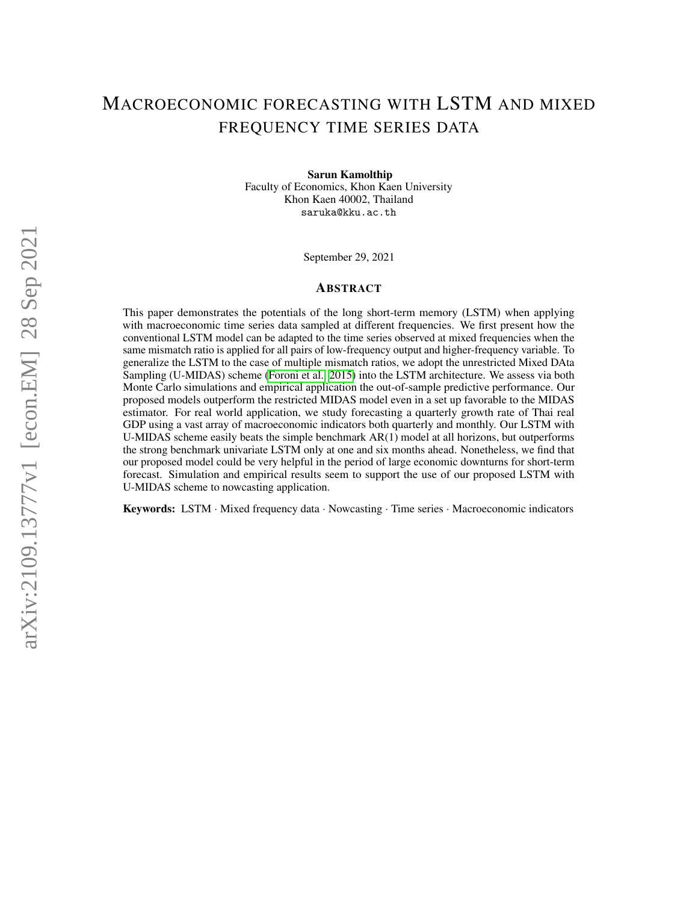## MACROECONOMIC FORECASTING WITH LSTM AND MIXED FREQUENCY TIME SERIES DATA

Sarun Kamolthip

Faculty of Economics, Khon Kaen University Khon Kaen 40002, Thailand saruka@kku.ac.th

September 29, 2021

#### ABSTRACT

This paper demonstrates the potentials of the long short-term memory (LSTM) when applying with macroeconomic time series data sampled at different frequencies. We first present how the conventional LSTM model can be adapted to the time series observed at mixed frequencies when the same mismatch ratio is applied for all pairs of low-frequency output and higher-frequency variable. To generalize the LSTM to the case of multiple mismatch ratios, we adopt the unrestricted Mixed DAta Sampling (U-MIDAS) scheme [\(Foroni et al., 2015\)](#page-16-0) into the LSTM architecture. We assess via both Monte Carlo simulations and empirical application the out-of-sample predictive performance. Our proposed models outperform the restricted MIDAS model even in a set up favorable to the MIDAS estimator. For real world application, we study forecasting a quarterly growth rate of Thai real GDP using a vast array of macroeconomic indicators both quarterly and monthly. Our LSTM with U-MIDAS scheme easily beats the simple benchmark AR(1) model at all horizons, but outperforms the strong benchmark univariate LSTM only at one and six months ahead. Nonetheless, we find that our proposed model could be very helpful in the period of large economic downturns for short-term forecast. Simulation and empirical results seem to support the use of our proposed LSTM with U-MIDAS scheme to nowcasting application.

Keywords: LSTM · Mixed frequency data · Nowcasting · Time series · Macroeconomic indicators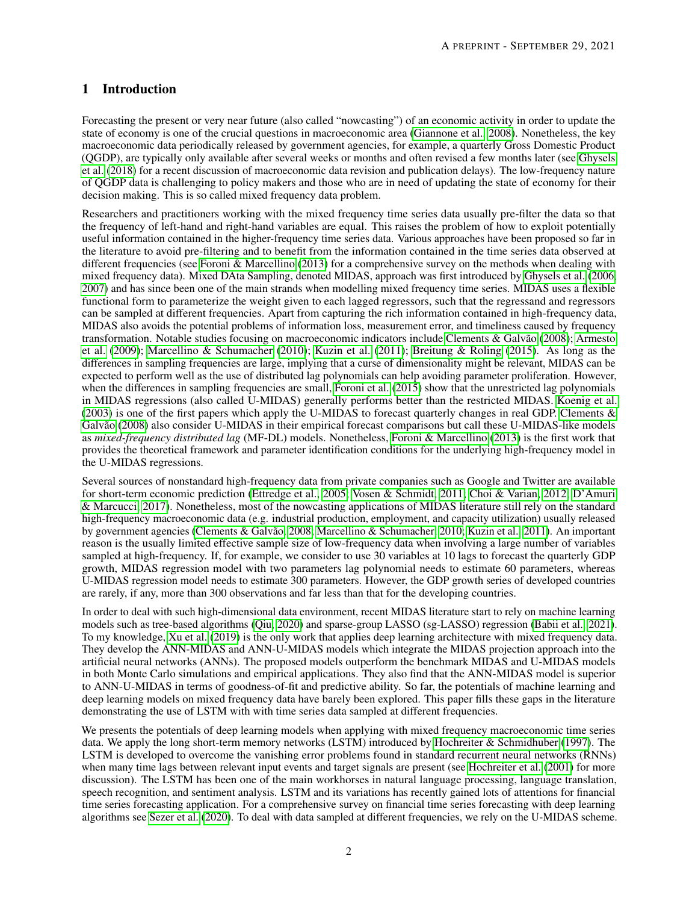## 1 Introduction

Forecasting the present or very near future (also called "nowcasting") of an economic activity in order to update the state of economy is one of the crucial questions in macroeconomic area [\(Giannone et al., 2008\)](#page-16-1). Nonetheless, the key macroeconomic data periodically released by government agencies, for example, a quarterly Gross Domestic Product (QGDP), are typically only available after several weeks or months and often revised a few months later (see [Ghysels](#page-16-2) [et al.](#page-16-2) [\(2018\)](#page-16-2) for a recent discussion of macroeconomic data revision and publication delays). The low-frequency nature of QGDP data is challenging to policy makers and those who are in need of updating the state of economy for their decision making. This is so called mixed frequency data problem.

Researchers and practitioners working with the mixed frequency time series data usually pre-filter the data so that the frequency of left-hand and right-hand variables are equal. This raises the problem of how to exploit potentially useful information contained in the higher-frequency time series data. Various approaches have been proposed so far in the literature to avoid pre-filtering and to benefit from the information contained in the time series data observed at different frequencies (see [Foroni & Marcellino](#page-16-3) [\(2013\)](#page-16-3) for a comprehensive survey on the methods when dealing with mixed frequency data). Mixed DAta Sampling, denoted MIDAS, approach was first introduced by [Ghysels et al.](#page-16-4) [\(2006,](#page-16-4) [2007\)](#page-16-5) and has since been one of the main strands when modelling mixed frequency time series. MIDAS uses a flexible functional form to parameterize the weight given to each lagged regressors, such that the regressand and regressors can be sampled at different frequencies. Apart from capturing the rich information contained in high-frequency data, MIDAS also avoids the potential problems of information loss, measurement error, and timeliness caused by frequency transformation. Notable studies focusing on macroeconomic indicators include [Clements & Galvão](#page-16-6) [\(2008\)](#page-16-6); [Armesto](#page-16-7) [et al.](#page-16-7) [\(2009\)](#page-16-7); [Marcellino & Schumacher](#page-16-8) [\(2010\)](#page-16-8); [Kuzin et al.](#page-16-9) [\(2011\)](#page-16-9); [Breitung & Roling](#page-16-10) [\(2015\)](#page-16-10). As long as the differences in sampling frequencies are large, implying that a curse of dimensionality might be relevant, MIDAS can be expected to perform well as the use of distributed lag polynomials can help avoiding parameter proliferation. However, when the differences in sampling frequencies are small, [Foroni et al.](#page-16-0) [\(2015\)](#page-16-0) show that the unrestricted lag polynomials in MIDAS regressions (also called U-MIDAS) generally performs better than the restricted MIDAS. [Koenig et al.](#page-16-11) [\(2003\)](#page-16-11) is one of the first papers which apply the U-MIDAS to forecast quarterly changes in real GDP. [Clements &](#page-16-6) [Galvão](#page-16-6) [\(2008\)](#page-16-6) also consider U-MIDAS in their empirical forecast comparisons but call these U-MIDAS-like models as *mixed-frequency distributed lag* (MF-DL) models. Nonetheless, [Foroni & Marcellino](#page-16-3) [\(2013\)](#page-16-3) is the first work that provides the theoretical framework and parameter identification conditions for the underlying high-frequency model in the U-MIDAS regressions.

Several sources of nonstandard high-frequency data from private companies such as Google and Twitter are available for short-term economic prediction [\(Ettredge et al., 2005;](#page-16-12) [Vosen & Schmidt, 2011;](#page-17-0) [Choi & Varian, 2012;](#page-16-13) [D'Amuri](#page-16-14) [& Marcucci, 2017\)](#page-16-14). Nonetheless, most of the nowcasting applications of MIDAS literature still rely on the standard high-frequency macroeconomic data (e.g. industrial production, employment, and capacity utilization) usually released by government agencies [\(Clements & Galvão, 2008;](#page-16-6) [Marcellino & Schumacher, 2010;](#page-16-8) [Kuzin et al., 2011\)](#page-16-9). An important reason is the usually limited effective sample size of low-frequency data when involving a large number of variables sampled at high-frequency. If, for example, we consider to use 30 variables at 10 lags to forecast the quarterly GDP growth, MIDAS regression model with two parameters lag polynomial needs to estimate 60 parameters, whereas U-MIDAS regression model needs to estimate 300 parameters. However, the GDP growth series of developed countries are rarely, if any, more than 300 observations and far less than that for the developing countries.

In order to deal with such high-dimensional data environment, recent MIDAS literature start to rely on machine learning models such as tree-based algorithms [\(Qiu, 2020\)](#page-16-15) and sparse-group LASSO (sg-LASSO) regression [\(Babii et al., 2021\)](#page-16-16). To my knowledge, [Xu et al.](#page-17-1) [\(2019\)](#page-17-1) is the only work that applies deep learning architecture with mixed frequency data. They develop the ANN-MIDAS and ANN-U-MIDAS models which integrate the MIDAS projection approach into the artificial neural networks (ANNs). The proposed models outperform the benchmark MIDAS and U-MIDAS models in both Monte Carlo simulations and empirical applications. They also find that the ANN-MIDAS model is superior to ANN-U-MIDAS in terms of goodness-of-fit and predictive ability. So far, the potentials of machine learning and deep learning models on mixed frequency data have barely been explored. This paper fills these gaps in the literature demonstrating the use of LSTM with with time series data sampled at different frequencies.

We presents the potentials of deep learning models when applying with mixed frequency macroeconomic time series data. We apply the long short-term memory networks (LSTM) introduced by [Hochreiter & Schmidhuber](#page-16-17) [\(1997\)](#page-16-17). The LSTM is developed to overcome the vanishing error problems found in standard recurrent neural networks (RNNs) when many time lags between relevant input events and target signals are present (see [Hochreiter et al.](#page-16-18) [\(2001\)](#page-16-18) for more discussion). The LSTM has been one of the main workhorses in natural language processing, language translation, speech recognition, and sentiment analysis. LSTM and its variations has recently gained lots of attentions for financial time series forecasting application. For a comprehensive survey on financial time series forecasting with deep learning algorithms see [Sezer et al.](#page-17-2) [\(2020\)](#page-17-2). To deal with data sampled at different frequencies, we rely on the U-MIDAS scheme.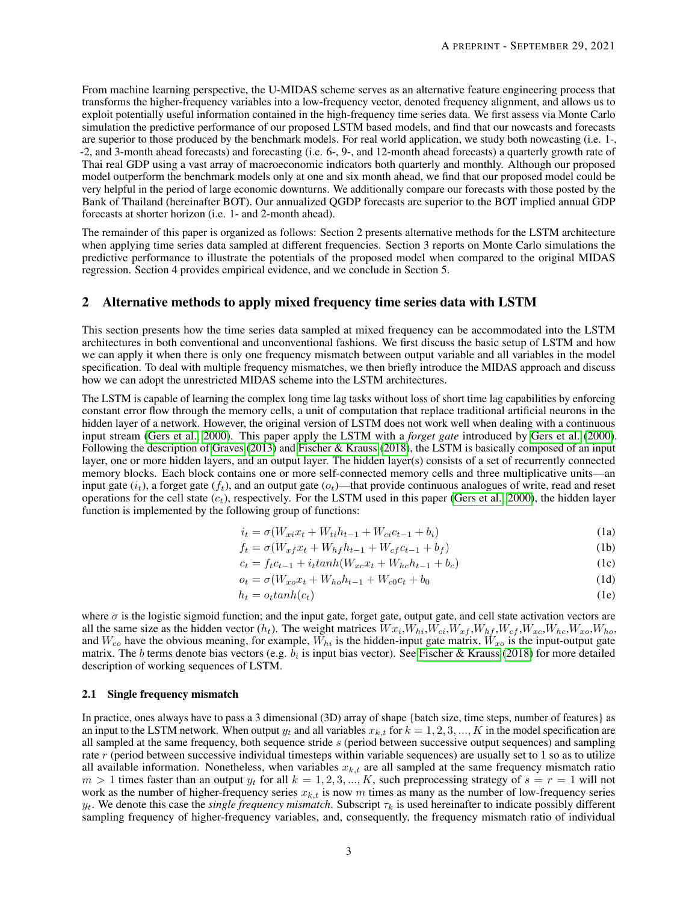From machine learning perspective, the U-MIDAS scheme serves as an alternative feature engineering process that transforms the higher-frequency variables into a low-frequency vector, denoted frequency alignment, and allows us to exploit potentially useful information contained in the high-frequency time series data. We first assess via Monte Carlo simulation the predictive performance of our proposed LSTM based models, and find that our nowcasts and forecasts are superior to those produced by the benchmark models. For real world application, we study both nowcasting (i.e. 1-, -2, and 3-month ahead forecasts) and forecasting (i.e. 6-, 9-, and 12-month ahead forecasts) a quarterly growth rate of Thai real GDP using a vast array of macroeconomic indicators both quarterly and monthly. Although our proposed model outperform the benchmark models only at one and six month ahead, we find that our proposed model could be very helpful in the period of large economic downturns. We additionally compare our forecasts with those posted by the Bank of Thailand (hereinafter BOT). Our annualized QGDP forecasts are superior to the BOT implied annual GDP forecasts at shorter horizon (i.e. 1- and 2-month ahead).

The remainder of this paper is organized as follows: Section 2 presents alternative methods for the LSTM architecture when applying time series data sampled at different frequencies. Section 3 reports on Monte Carlo simulations the predictive performance to illustrate the potentials of the proposed model when compared to the original MIDAS regression. Section 4 provides empirical evidence, and we conclude in Section 5.

#### 2 Alternative methods to apply mixed frequency time series data with LSTM

This section presents how the time series data sampled at mixed frequency can be accommodated into the LSTM architectures in both conventional and unconventional fashions. We first discuss the basic setup of LSTM and how we can apply it when there is only one frequency mismatch between output variable and all variables in the model specification. To deal with multiple frequency mismatches, we then briefly introduce the MIDAS approach and discuss how we can adopt the unrestricted MIDAS scheme into the LSTM architectures.

The LSTM is capable of learning the complex long time lag tasks without loss of short time lag capabilities by enforcing constant error flow through the memory cells, a unit of computation that replace traditional artificial neurons in the hidden layer of a network. However, the original version of LSTM does not work well when dealing with a continuous input stream [\(Gers et al., 2000\)](#page-16-19). This paper apply the LSTM with a *forget gate* introduced by [Gers et al.](#page-16-19) [\(2000\)](#page-16-19). Following the description of [Graves](#page-16-20) [\(2013\)](#page-16-20) and [Fischer & Krauss](#page-16-21) [\(2018\)](#page-16-21), the LSTM is basically composed of an input layer, one or more hidden layers, and an output layer. The hidden layer(s) consists of a set of recurrently connected memory blocks. Each block contains one or more self-connected memory cells and three multiplicative units—an input gate  $(i_t)$ , a forget gate  $(f_t)$ , and an output gate  $(o_t)$ —that provide continuous analogues of write, read and reset operations for the cell state  $(c_t)$ , respectively. For the LSTM used in this paper [\(Gers et al., 2000\)](#page-16-19), the hidden layer function is implemented by the following group of functions:

<span id="page-2-3"></span><span id="page-2-2"></span><span id="page-2-1"></span><span id="page-2-0"></span>
$$
i_t = \sigma(W_{xi} x_t + W_{ti} h_{t-1} + W_{ci} c_{t-1} + b_i)
$$
\n(1a)

$$
f_t = \sigma(W_{xf}x_t + W_{hf}h_{t-1} + W_{cf}c_{t-1} + b_f)
$$
 (1b)

$$
c_t = f_t c_{t-1} + i_t \tanh(W_{xc} x_t + W_{hc} h_{t-1} + b_c)
$$
 (1c)

$$
o_t = \sigma(W_{xo}x_t + W_{ho}h_{t-1} + W_{c0}c_t + b_0
$$
\n(1d)

$$
h_t = o_t \tanh(c_t) \tag{1e}
$$

where  $\sigma$  is the logistic sigmoid function; and the input gate, forget gate, output gate, and cell state activation vectors are all the same size as the hidden vector  $(h_t)$ . The weight matrices  $Wx_i, W_{hi}, W_{ci}, W_{xf}, W_{hf}, W_{cf}, W_{xc}, W_{hc}, W_{xo}, W_{ho}$ , and  $W_{co}$  have the obvious meaning, for example,  $W_{hi}$  is the hidden-input gate matrix,  $W_{xo}$  is the input-output gate matrix. The b terms denote bias vectors (e.g.  $b_i$  is input bias vector). See [Fischer & Krauss](#page-16-21) [\(2018\)](#page-16-21) for more detailed description of working sequences of LSTM.

#### <span id="page-2-4"></span>2.1 Single frequency mismatch

In practice, ones always have to pass a 3 dimensional (3D) array of shape {batch size, time steps, number of features} as an input to the LSTM network. When output  $y_t$  and all variables  $x_{k,t}$  for  $k = 1, 2, 3, ..., K$  in the model specification are all sampled at the same frequency, both sequence stride s (period between successive output sequences) and sampling rate r (period between successive individual timesteps within variable sequences) are usually set to 1 so as to utilize all available information. Nonetheless, when variables  $x_{k,t}$  are all sampled at the same frequency mismatch ratio  $m > 1$  times faster than an output  $y_t$  for all  $k = 1, 2, 3, ..., K$ , such preprocessing strategy of  $s = r = 1$  will not work as the number of higher-frequency series  $x_{k,t}$  is now m times as many as the number of low-frequency series  $y_t$ . We denote this case the *single frequency mismatch*. Subscript  $\tau_k$  is used hereinafter to indicate possibly different sampling frequency of higher-frequency variables, and, consequently, the frequency mismatch ratio of individual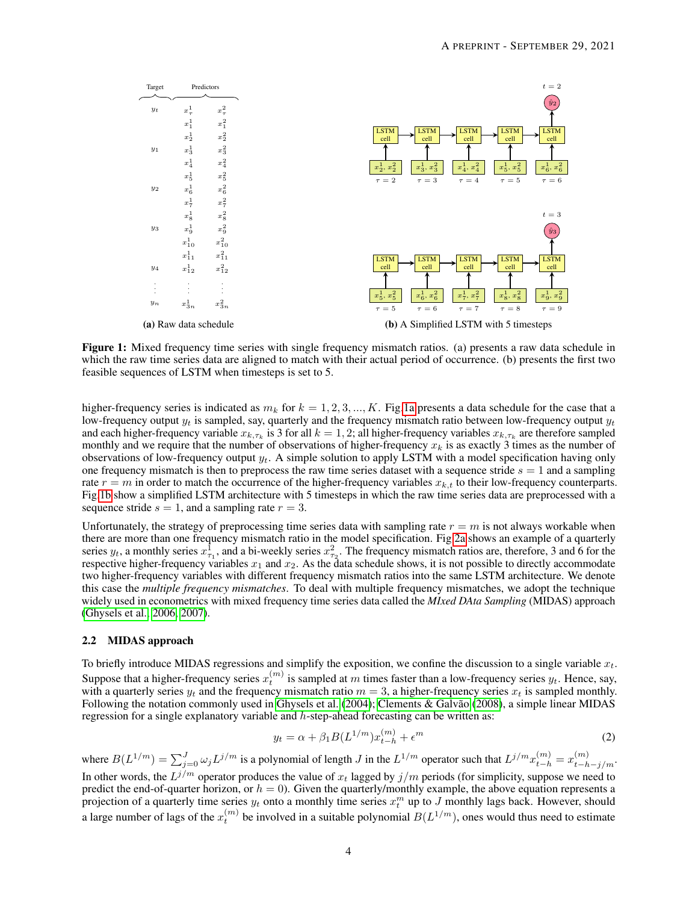<span id="page-3-0"></span>

Figure 1: Mixed frequency time series with single frequency mismatch ratios. (a) presents a raw data schedule in which the raw time series data are aligned to match with their actual period of occurrence. (b) presents the first two feasible sequences of LSTM when timesteps is set to 5.

higher-frequency series is indicated as  $m_k$  for  $k = 1, 2, 3, ..., K$ . Fig[.1a](#page-3-0) presents a data schedule for the case that a low-frequency output  $y_t$  is sampled, say, quarterly and the frequency mismatch ratio between low-frequency output  $y_t$ and each higher-frequency variable  $x_{k,\tau_k}$  is 3 for all  $k=1,2$ ; all higher-frequency variables  $x_{k,\tau_k}$  are therefore sampled monthly and we require that the number of observations of higher-frequency  $x_k$  is as exactly 3 times as the number of observations of low-frequency output  $y_t$ . A simple solution to apply LSTM with a model specification having only one frequency mismatch is then to preprocess the raw time series dataset with a sequence stride  $s = 1$  and a sampling rate  $r = m$  in order to match the occurrence of the higher-frequency variables  $x_{k,t}$  to their low-frequency counterparts. Fig[.1b](#page-3-0) show a simplified LSTM architecture with 5 timesteps in which the raw time series data are preprocessed with a sequence stride  $s = 1$ , and a sampling rate  $r = 3$ .

Unfortunately, the strategy of preprocessing time series data with sampling rate  $r = m$  is not always workable when there are more than one frequency mismatch ratio in the model specification. Fig[.2a](#page-4-0) shows an example of a quarterly series  $y_t$ , a monthly series  $x_{\tau_1}^1$ , and a bi-weekly series  $x_{\tau_2}^2$ . The frequency mismatch ratios are, therefore, 3 and 6 for the respective higher-frequency variables  $x_1$  and  $x_2$ . As the data schedule shows, it is not possible to directly accommodate two higher-frequency variables with different frequency mismatch ratios into the same LSTM architecture. We denote this case the *multiple frequency mismatches*. To deal with multiple frequency mismatches, we adopt the technique widely used in econometrics with mixed frequency time series data called the *MIxed DAta Sampling* (MIDAS) approach [\(Ghysels et al., 2006,](#page-16-4) [2007\)](#page-16-5).

#### <span id="page-3-1"></span>2.2 MIDAS approach

To briefly introduce MIDAS regressions and simplify the exposition, we confine the discussion to a single variable  $x_t$ . Suppose that a higher-frequency series  $x_t^{(m)}$  is sampled at m times faster than a low-frequency series  $y_t$ . Hence, say, with a quarterly series  $y_t$  and the frequency mismatch ratio  $m = 3$ , a higher-frequency series  $x_t$  is sampled monthly. Following the notation commonly used in [Ghysels et al.](#page-16-22) [\(2004\)](#page-16-22); [Clements & Galvão](#page-16-6) [\(2008\)](#page-16-6), a simple linear MIDAS regression for a single explanatory variable and h-step-ahead forecasting can be written as:

$$
y_t = \alpha + \beta_1 B(L^{1/m}) x_{t-h}^{(m)} + \epsilon^m
$$
 (2)

where  $B(L^{1/m}) = \sum_{j=0}^{J} \omega_j L^{j/m}$  is a polynomial of length J in the  $L^{1/m}$  operator such that  $L^{j/m} x_{t-h}^{(m)} = x_{t-h-j/m}^{(m)}$ . In other words, the  $L^{j/m}$  operator produces the value of  $x_t$  lagged by  $j/m$  periods (for simplicity, suppose we need to predict the end-of-quarter horizon, or  $h = 0$ ). Given the quarterly/monthly example, the above equation represents a projection of a quarterly time series  $y_t$  onto a monthly time series  $x_t^m$  up to J monthly lags back. However, should a large number of lags of the  $x_t^{(m)}$  be involved in a suitable polynomial  $B(L^{1/m})$ , ones would thus need to estimate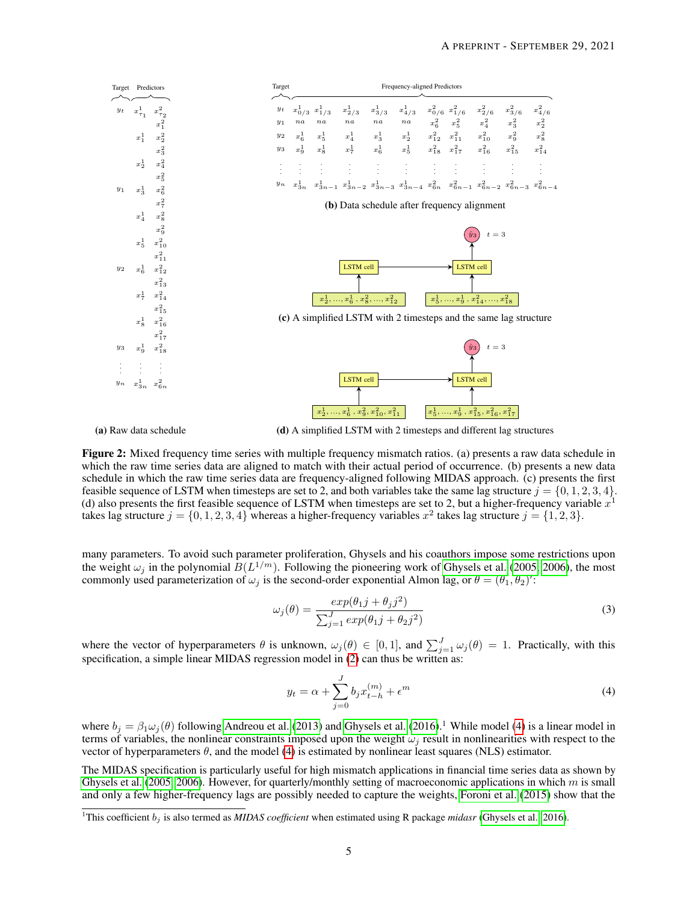<span id="page-4-0"></span>

(a) Raw data schedule

(d) A simplified LSTM with 2 timesteps and different lag structures

Figure 2: Mixed frequency time series with multiple frequency mismatch ratios. (a) presents a raw data schedule in which the raw time series data are aligned to match with their actual period of occurrence. (b) presents a new data schedule in which the raw time series data are frequency-aligned following MIDAS approach. (c) presents the first feasible sequence of LSTM when timesteps are set to 2, and both variables take the same lag structure  $j = \{0, 1, 2, 3, 4\}$ . (d) also presents the first feasible sequence of LSTM when timesteps are set to 2, but a higher-frequency variable  $x^1$ takes lag structure  $j = \{0, 1, 2, 3, 4\}$  whereas a higher-frequency variables  $x^2$  takes lag structure  $j = \{1, 2, 3\}$ .

many parameters. To avoid such parameter proliferation, Ghysels and his coauthors impose some restrictions upon the weight  $\omega_j$  in the polynomial  $B(L^{1/m})$ . Following the pioneering work of [Ghysels et al.](#page-16-23) [\(2005,](#page-16-23) [2006\)](#page-16-4), the most commonly used parameterization of  $\omega_j$  is the second-order exponential Almon lag, or  $\theta = (\theta_1, \theta_2)'$ :

$$
\omega_j(\theta) = \frac{\exp(\theta_1 j + \theta_j j^2)}{\sum_{j=1}^J \exp(\theta_1 j + \theta_2 j^2)}
$$
\n(3)

where the vector of hyperparameters  $\theta$  is unknown,  $\omega_j(\theta) \in [0,1]$ , and  $\sum_{j=1}^J \omega_j(\theta) = 1$ . Practically, with this specification, a simple linear MIDAS regression model in [\(2\)](#page-2-0) can thus be written as:

$$
y_t = \alpha + \sum_{j=0}^{J} b_j x_{t-h}^{(m)} + \epsilon^m
$$
 (4)

where  $b_j = \beta_1 \omega_j(\theta)$  following [Andreou et al.](#page-15-0) [\(2013\)](#page-15-0) and [Ghysels et al.](#page-16-24) [\(2016\)](#page-16-24).<sup>1</sup> While model [\(4\)](#page-2-1) is a linear model in terms of variables, the nonlinear constraints imposed upon the weight  $\omega_i$  result in nonlinearities with respect to the vector of hyperparameters  $\theta$ , and the model [\(4\)](#page-2-1) is estimated by nonlinear least squares (NLS) estimator.

The MIDAS specification is particularly useful for high mismatch applications in financial time series data as shown by [Ghysels et al.](#page-16-23) [\(2005,](#page-16-23) [2006\)](#page-16-4). However, for quarterly/monthly setting of macroeconomic applications in which m is small and only a few higher-frequency lags are possibly needed to capture the weights, [Foroni et al.](#page-16-0) [\(2015\)](#page-16-0) show that the

<sup>&</sup>lt;sup>1</sup>This coefficient  $b_i$  is also termed as *MIDAS coefficient* when estimated using R package *midasr* [\(Ghysels et al., 2016\)](#page-16-24).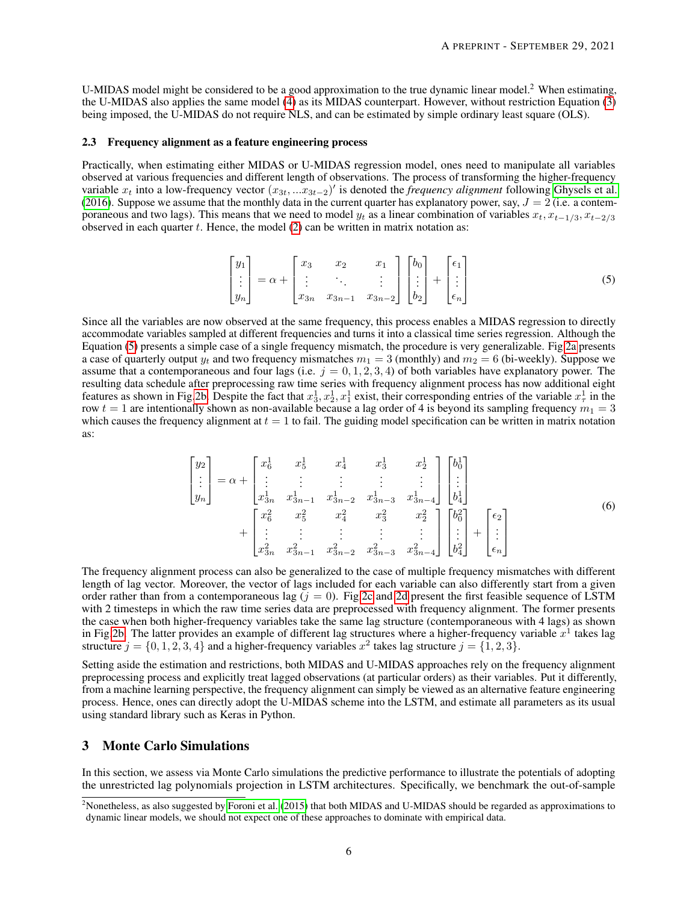U-MIDAS model might be considered to be a good approximation to the true dynamic linear model.<sup>2</sup> When estimating, the U-MIDAS also applies the same model [\(4\)](#page-2-1) as its MIDAS counterpart. However, without restriction Equation [\(3\)](#page-2-2) being imposed, the U-MIDAS do not require NLS, and can be estimated by simple ordinary least square (OLS).

#### 2.3 Frequency alignment as a feature engineering process

Practically, when estimating either MIDAS or U-MIDAS regression model, ones need to manipulate all variables observed at various frequencies and different length of observations. The process of transforming the higher-frequency variable  $x_t$  into a low-frequency vector  $(x_{3t},...x_{3t-2})'$  is denoted the *frequency alignment* following [Ghysels et al.](#page-16-24) [\(2016\)](#page-16-24). Suppose we assume that the monthly data in the current quarter has explanatory power, say,  $J = 2$  (i.e. a contemporaneous and two lags). This means that we need to model  $y_t$  as a linear combination of variables  $x_t$ ,  $x_{t-1/3}$ ,  $x_{t-2/3}$ observed in each quarter  $t$ . Hence, the model  $(2)$  can be written in matrix notation as:

$$
\begin{bmatrix} y_1 \\ \vdots \\ y_n \end{bmatrix} = \alpha + \begin{bmatrix} x_3 & x_2 & x_1 \\ \vdots & \ddots & \vdots \\ x_{3n} & x_{3n-1} & x_{3n-2} \end{bmatrix} \begin{bmatrix} b_0 \\ \vdots \\ b_2 \end{bmatrix} + \begin{bmatrix} \epsilon_1 \\ \vdots \\ \epsilon_n \end{bmatrix}
$$
 (5)

Since all the variables are now observed at the same frequency, this process enables a MIDAS regression to directly accommodate variables sampled at different frequencies and turns it into a classical time series regression. Although the Equation [\(5\)](#page-2-3) presents a simple case of a single frequency mismatch, the procedure is very generalizable. Fig[.2a](#page-4-0) presents a case of quarterly output  $y_t$  and two frequency mismatches  $m_1 = 3$  (monthly) and  $m_2 = 6$  (bi-weekly). Suppose we assume that a contemporaneous and four lags (i.e.  $j = 0, 1, 2, 3, 4$ ) of both variables have explanatory power. The resulting data schedule after preprocessing raw time series with frequency alignment process has now additional eight features as shown in Fig[.2b.](#page-4-0) Despite the fact that  $x_3^1, x_2^1, x_1^1$  exist, their corresponding entries of the variable  $x_\tau^1$  in the row  $t = 1$  are intentionally shown as non-available because a lag order of 4 is beyond its sampling frequency  $m_1 = 3$ which causes the frequency alignment at  $t = 1$  to fail. The guiding model specification can be written in matrix notation as:

$$
\begin{bmatrix} y_2 \\ \vdots \\ y_n \end{bmatrix} = \alpha + \begin{bmatrix} x_6^1 & x_5^1 & x_4^1 & x_3^1 & x_2^1 \\ \vdots & \vdots & \vdots & \vdots & \vdots \\ x_{3n}^1 & x_{3n-1}^1 & x_{3n-2}^1 & x_{3n-3}^1 & x_{3n-4}^1 \end{bmatrix} \begin{bmatrix} b_0^1 \\ \vdots \\ b_4^1 \end{bmatrix} + \begin{bmatrix} x_6^2 & x_5^2 & x_4^2 & x_3^2 & x_2^2 \\ \vdots & \vdots & \vdots & \vdots & \vdots \\ x_{3n}^2 & x_{3n-1}^2 & x_{3n-2}^2 & x_{3n-3}^2 & x_{3n-4}^2 \end{bmatrix} \begin{bmatrix} b_0^2 \\ b_4^1 \end{bmatrix} + \begin{bmatrix} \epsilon_2 \\ \vdots \\ \epsilon_n \end{bmatrix}
$$
 (6)

The frequency alignment process can also be generalized to the case of multiple frequency mismatches with different length of lag vector. Moreover, the vector of lags included for each variable can also differently start from a given order rather than from a contemporaneous lag  $(j = 0)$ . Fig[.2c](#page-4-0) and [2d](#page-4-0) present the first feasible sequence of LSTM with 2 timesteps in which the raw time series data are preprocessed with frequency alignment. The former presents the case when both higher-frequency variables take the same lag structure (contemporaneous with 4 lags) as shown in Fig[.2b.](#page-4-0) The latter provides an example of different lag structures where a higher-frequency variable  $x^1$  takes lag structure  $j = \{0, 1, 2, 3, 4\}$  and a higher-frequency variables  $x^2$  takes lag structure  $j = \{1, 2, 3\}$ .

Setting aside the estimation and restrictions, both MIDAS and U-MIDAS approaches rely on the frequency alignment preprocessing process and explicitly treat lagged observations (at particular orders) as their variables. Put it differently, from a machine learning perspective, the frequency alignment can simply be viewed as an alternative feature engineering process. Hence, ones can directly adopt the U-MIDAS scheme into the LSTM, and estimate all parameters as its usual using standard library such as Keras in Python.

## 3 Monte Carlo Simulations

In this section, we assess via Monte Carlo simulations the predictive performance to illustrate the potentials of adopting the unrestricted lag polynomials projection in LSTM architectures. Specifically, we benchmark the out-of-sample

<sup>&</sup>lt;sup>2</sup>Nonetheless, as also suggested by [Foroni et al.](#page-16-0) [\(2015\)](#page-16-0) that both MIDAS and U-MIDAS should be regarded as approximations to dynamic linear models, we should not expect one of these approaches to dominate with empirical data.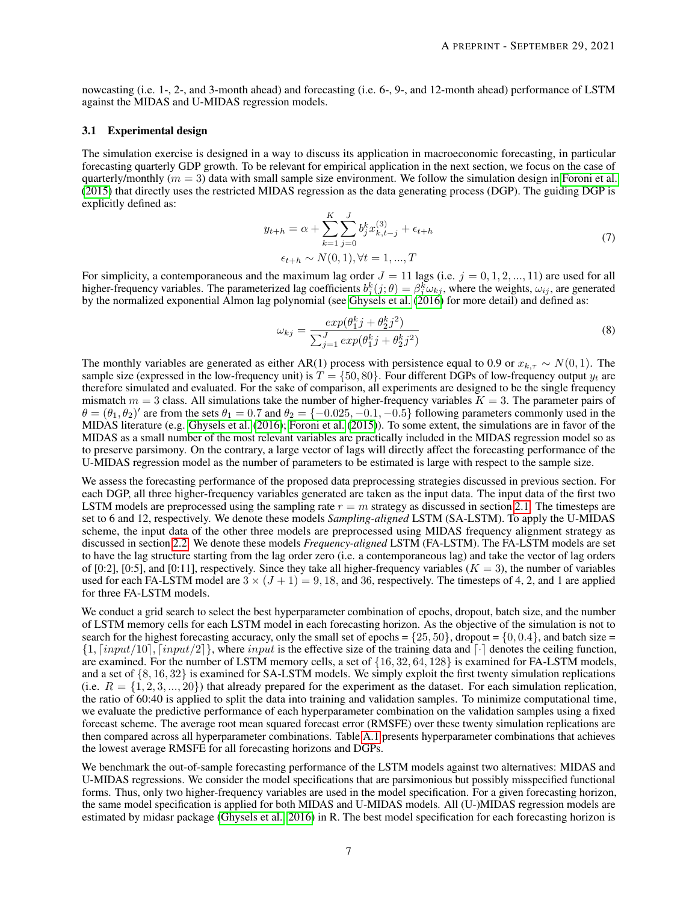nowcasting (i.e. 1-, 2-, and 3-month ahead) and forecasting (i.e. 6-, 9-, and 12-month ahead) performance of LSTM against the MIDAS and U-MIDAS regression models.

#### 3.1 Experimental design

The simulation exercise is designed in a way to discuss its application in macroeconomic forecasting, in particular forecasting quarterly GDP growth. To be relevant for empirical application in the next section, we focus on the case of quarterly/monthly  $(m = 3)$  data with small sample size environment. We follow the simulation design in [Foroni et al.](#page-16-0) [\(2015\)](#page-16-0) that directly uses the restricted MIDAS regression as the data generating process (DGP). The guiding DGP is explicitly defined as:

$$
y_{t+h} = \alpha + \sum_{k=1}^{K} \sum_{j=0}^{J} b_j^k x_{k,t-j}^{(3)} + \epsilon_{t+h}
$$
  

$$
\epsilon_{t+h} \sim N(0,1), \forall t = 1,...,T
$$
 (7)

For simplicity, a contemporaneous and the maximum lag order  $J = 11$  lags (i.e.  $j = 0, 1, 2, ..., 11$ ) are used for all higher-frequency variables. The parameterized lag coefficients  $b_j^k(j;\theta) = \beta_j^k \omega_{kj}$ , where the weights,  $\omega_{ij}$ , are generated by the normalized exponential Almon lag polynomial (see [Ghysels et al.](#page-16-24) [\(2016\)](#page-16-24) for more detail) and defined as:

$$
\omega_{kj} = \frac{exp(\theta_1^k j + \theta_2^k j^2)}{\sum_{j=1}^J exp(\theta_1^k j + \theta_2^k j^2)}
$$
\n(8)

The monthly variables are generated as either AR(1) process with persistence equal to 0.9 or  $x_{k,\tau} \sim N(0, 1)$ . The sample size (expressed in the low-frequency unit) is  $T = \{50, 80\}$ . Four different DGPs of low-frequency output  $y_t$  are therefore simulated and evaluated. For the sake of comparison, all experiments are designed to be the single frequency mismatch  $m = 3$  class. All simulations take the number of higher-frequency variables  $K = 3$ . The parameter pairs of  $\theta = (\theta_1, \theta_2)'$  are from the sets  $\theta_1 = 0.7$  and  $\theta_2 = \{-0.025, -0.1, -0.5\}$  following parameters commonly used in the MIDAS literature (e.g. [Ghysels et al.](#page-16-24) [\(2016\)](#page-16-24); [Foroni et al.](#page-16-0) [\(2015\)](#page-16-0)). To some extent, the simulations are in favor of the MIDAS as a small number of the most relevant variables are practically included in the MIDAS regression model so as to preserve parsimony. On the contrary, a large vector of lags will directly affect the forecasting performance of the U-MIDAS regression model as the number of parameters to be estimated is large with respect to the sample size.

We assess the forecasting performance of the proposed data preprocessing strategies discussed in previous section. For each DGP, all three higher-frequency variables generated are taken as the input data. The input data of the first two LSTM models are preprocessed using the sampling rate  $r = m$  strategy as discussed in section [2.1.](#page-2-4) The timesteps are set to 6 and 12, respectively. We denote these models *Sampling-aligned* LSTM (SA-LSTM). To apply the U-MIDAS scheme, the input data of the other three models are preprocessed using MIDAS frequency alignment strategy as discussed in section [2.2.](#page-3-1) We denote these models *Frequency-aligned* LSTM (FA-LSTM). The FA-LSTM models are set to have the lag structure starting from the lag order zero (i.e. a contemporaneous lag) and take the vector of lag orders of [0:2], [0:5], and [0:11], respectively. Since they take all higher-frequency variables ( $K = 3$ ), the number of variables used for each FA-LSTM model are  $3 \times (J + 1) = 9,18$ , and 36, respectively. The timesteps of 4, 2, and 1 are applied for three FA-LSTM models.

We conduct a grid search to select the best hyperparameter combination of epochs, dropout, batch size, and the number of LSTM memory cells for each LSTM model in each forecasting horizon. As the objective of the simulation is not to search for the highest forecasting accuracy, only the small set of epochs =  $\{25, 50\}$ , dropout =  $\{0, 0.4\}$ , and batch size =  $\{1, \lceil input/10 \rceil, \lceil input/2 \rceil\}$ , where input is the effective size of the training data and  $\lceil \cdot \rceil$  denotes the ceiling function, are examined. For the number of LSTM memory cells, a set of {16, 32, 64, 128} is examined for FA-LSTM models, and a set of {8, 16, 32} is examined for SA-LSTM models. We simply exploit the first twenty simulation replications (i.e.  $R = \{1, 2, 3, ..., 20\}$ ) that already prepared for the experiment as the dataset. For each simulation replication, the ratio of 60:40 is applied to split the data into training and validation samples. To minimize computational time, we evaluate the predictive performance of each hyperparameter combination on the validation samples using a fixed forecast scheme. The average root mean squared forecast error (RMSFE) over these twenty simulation replications are then compared across all hyperparameter combinations. Table [A.1](#page-18-0) presents hyperparameter combinations that achieves the lowest average RMSFE for all forecasting horizons and DGPs.

We benchmark the out-of-sample forecasting performance of the LSTM models against two alternatives: MIDAS and U-MIDAS regressions. We consider the model specifications that are parsimonious but possibly misspecified functional forms. Thus, only two higher-frequency variables are used in the model specification. For a given forecasting horizon, the same model specification is applied for both MIDAS and U-MIDAS models. All (U-)MIDAS regression models are estimated by midasr package [\(Ghysels et al., 2016\)](#page-16-24) in R. The best model specification for each forecasting horizon is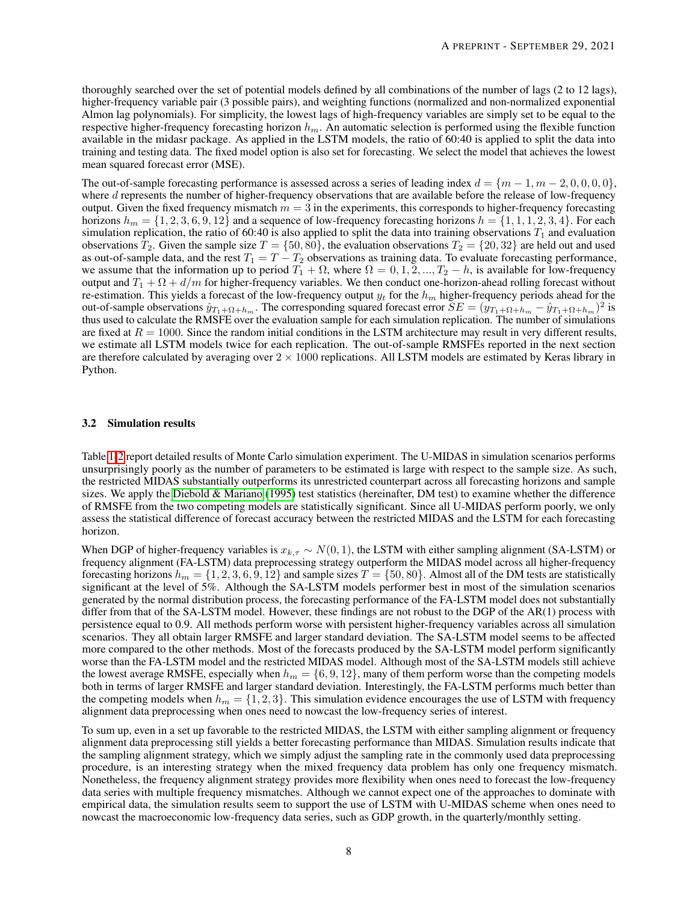thoroughly searched over the set of potential models defined by all combinations of the number of lags (2 to 12 lags), higher-frequency variable pair (3 possible pairs), and weighting functions (normalized and non-normalized exponential Almon lag polynomials). For simplicity, the lowest lags of high-frequency variables are simply set to be equal to the respective higher-frequency forecasting horizon  $h_m$ . An automatic selection is performed using the flexible function available in the midasr package. As applied in the LSTM models, the ratio of 60:40 is applied to split the data into training and testing data. The fixed model option is also set for forecasting. We select the model that achieves the lowest mean squared forecast error (MSE).

The out-of-sample forecasting performance is assessed across a series of leading index  $d = \{m-1, m-2, 0, 0, 0, 0\}$ , where d represents the number of higher-frequency observations that are available before the release of low-frequency output. Given the fixed frequency mismatch  $m = 3$  in the experiments, this corresponds to higher-frequency forecasting horizons  $h_m = \{1, 2, 3, 6, 9, 12\}$  and a sequence of low-frequency forecasting horizons  $h = \{1, 1, 1, 2, 3, 4\}$ . For each simulation replication, the ratio of 60:40 is also applied to split the data into training observations  $T_1$  and evaluation observations  $T_2$ . Given the sample size  $T = \{50, 80\}$ , the evaluation observations  $T_2 = \{20, 32\}$  are held out and used as out-of-sample data, and the rest  $T_1 = T - T_2$  observations as training data. To evaluate forecasting performance, we assume that the information up to period  $T_1 + \Omega$ , where  $\Omega = 0, 1, 2, ..., T_2 - h$ , is available for low-frequency output and  $T_1 + \Omega + d/m$  for higher-frequency variables. We then conduct one-horizon-ahead rolling forecast without re-estimation. This yields a forecast of the low-frequency output  $y_t$  for the  $h_m$  higher-frequency periods ahead for the out-of-sample observations  $\hat{y}_{T_1+\Omega+h_m}$ . The corresponding squared forecast error  $SE = (\hat{y}_{T_1+\Omega+h_m} - \hat{y}_{T_1+\Omega+h_m})^2$  is thus used to calculate the RMSFE over the evaluation sample for each simulation replication. The number of simulations are fixed at  $R = 1000$ . Since the random initial conditions in the LSTM architecture may result in very different results, we estimate all LSTM models twice for each replication. The out-of-sample RMSFEs reported in the next section are therefore calculated by averaging over  $2 \times 1000$  replications. All LSTM models are estimated by Keras library in Python.

#### 3.2 Simulation results

Table [1-](#page-8-0)[2](#page-9-0) report detailed results of Monte Carlo simulation experiment. The U-MIDAS in simulation scenarios performs unsurprisingly poorly as the number of parameters to be estimated is large with respect to the sample size. As such, the restricted MIDAS substantially outperforms its unrestricted counterpart across all forecasting horizons and sample sizes. We apply the Diebold  $&$  Mariano [\(1995\)](#page-16-25) test statistics (hereinafter, DM test) to examine whether the difference of RMSFE from the two competing models are statistically significant. Since all U-MIDAS perform poorly, we only assess the statistical difference of forecast accuracy between the restricted MIDAS and the LSTM for each forecasting horizon.

When DGP of higher-frequency variables is  $x_{k,\tau} \sim N(0, 1)$ , the LSTM with either sampling alignment (SA-LSTM) or frequency alignment (FA-LSTM) data preprocessing strategy outperform the MIDAS model across all higher-frequency forecasting horizons  $h_m = \{1, 2, 3, 6, 9, 12\}$  and sample sizes  $T = \{50, 80\}$ . Almost all of the DM tests are statistically significant at the level of 5%. Although the SA-LSTM models performer best in most of the simulation scenarios generated by the normal distribution process, the forecasting performance of the FA-LSTM model does not substantially differ from that of the SA-LSTM model. However, these findings are not robust to the DGP of the AR(1) process with persistence equal to 0.9. All methods perform worse with persistent higher-frequency variables across all simulation scenarios. They all obtain larger RMSFE and larger standard deviation. The SA-LSTM model seems to be affected more compared to the other methods. Most of the forecasts produced by the SA-LSTM model perform significantly worse than the FA-LSTM model and the restricted MIDAS model. Although most of the SA-LSTM models still achieve the lowest average RMSFE, especially when  $h_m = \{6, 9, 12\}$ , many of them perform worse than the competing models both in terms of larger RMSFE and larger standard deviation. Interestingly, the FA-LSTM performs much better than the competing models when  $h_m = \{1, 2, 3\}$ . This simulation evidence encourages the use of LSTM with frequency alignment data preprocessing when ones need to nowcast the low-frequency series of interest.

To sum up, even in a set up favorable to the restricted MIDAS, the LSTM with either sampling alignment or frequency alignment data preprocessing still yields a better forecasting performance than MIDAS. Simulation results indicate that the sampling alignment strategy, which we simply adjust the sampling rate in the commonly used data preprocessing procedure, is an interesting strategy when the mixed frequency data problem has only one frequency mismatch. Nonetheless, the frequency alignment strategy provides more flexibility when ones need to forecast the low-frequency data series with multiple frequency mismatches. Although we cannot expect one of the approaches to dominate with empirical data, the simulation results seem to support the use of LSTM with U-MIDAS scheme when ones need to nowcast the macroeconomic low-frequency data series, such as GDP growth, in the quarterly/monthly setting.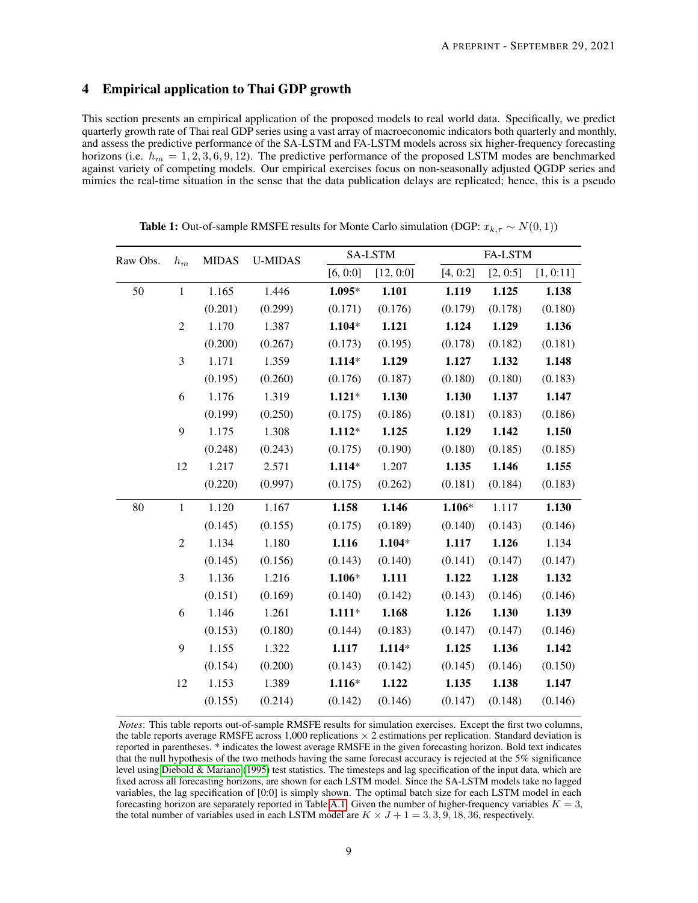## 4 Empirical application to Thai GDP growth

This section presents an empirical application of the proposed models to real world data. Specifically, we predict quarterly growth rate of Thai real GDP series using a vast array of macroeconomic indicators both quarterly and monthly, and assess the predictive performance of the SA-LSTM and FA-LSTM models across six higher-frequency forecasting horizons (i.e.  $h_m = 1, 2, 3, 6, 9, 12$ ). The predictive performance of the proposed LSTM modes are benchmarked against variety of competing models. Our empirical exercises focus on non-seasonally adjusted QGDP series and mimics the real-time situation in the sense that the data publication delays are replicated; hence, this is a pseudo

<span id="page-8-0"></span>

| Raw Obs. | $h_m$          | <b>MIDAS</b> | <b>U-MIDAS</b> |          | SA-LSTM   |          | FA-LSTM  |           |  |  |  |
|----------|----------------|--------------|----------------|----------|-----------|----------|----------|-----------|--|--|--|
|          |                |              |                | [6, 0:0] | [12, 0:0] | [4, 0:2] | [2, 0:5] | [1, 0:11] |  |  |  |
| 50       | $\mathbf{1}$   | 1.165        | 1.446          | $1.095*$ | 1.101     | 1.119    | 1.125    | 1.138     |  |  |  |
|          |                | (0.201)      | (0.299)        | (0.171)  | (0.176)   | (0.179)  | (0.178)  | (0.180)   |  |  |  |
|          | $\mathfrak{2}$ | 1.170        | 1.387          | $1.104*$ | 1.121     | 1.124    | 1.129    | 1.136     |  |  |  |
|          |                | (0.200)      | (0.267)        | (0.173)  | (0.195)   | (0.178)  | (0.182)  | (0.181)   |  |  |  |
|          | 3              | 1.171        | 1.359          | $1.114*$ | 1.129     | 1.127    | 1.132    | 1.148     |  |  |  |
|          |                | (0.195)      | (0.260)        | (0.176)  | (0.187)   | (0.180)  | (0.180)  | (0.183)   |  |  |  |
|          | 6              | 1.176        | 1.319          | $1.121*$ | 1.130     | 1.130    | 1.137    | 1.147     |  |  |  |
|          |                | (0.199)      | (0.250)        | (0.175)  | (0.186)   | (0.181)  | (0.183)  | (0.186)   |  |  |  |
|          | 9              | 1.175        | 1.308          | $1.112*$ | 1.125     | 1.129    | 1.142    | 1.150     |  |  |  |
|          |                | (0.248)      | (0.243)        | (0.175)  | (0.190)   | (0.180)  | (0.185)  | (0.185)   |  |  |  |
|          | 12             | 1.217        | 2.571          | $1.114*$ | 1.207     | 1.135    | 1.146    | 1.155     |  |  |  |
|          |                | (0.220)      | (0.997)        | (0.175)  | (0.262)   | (0.181)  | (0.184)  | (0.183)   |  |  |  |
| 80       | $\mathbf{1}$   | 1.120        | 1.167          | 1.158    | 1.146     | $1.106*$ | 1.117    | 1.130     |  |  |  |
|          |                | (0.145)      | (0.155)        | (0.175)  | (0.189)   | (0.140)  | (0.143)  | (0.146)   |  |  |  |
|          | $\overline{c}$ | 1.134        | 1.180          | 1.116    | $1.104*$  | 1.117    | 1.126    | 1.134     |  |  |  |
|          |                | (0.145)      | (0.156)        | (0.143)  | (0.140)   | (0.141)  | (0.147)  | (0.147)   |  |  |  |
|          | 3              | 1.136        | 1.216          | $1.106*$ | 1.111     | 1.122    | 1.128    | 1.132     |  |  |  |
|          |                | (0.151)      | (0.169)        | (0.140)  | (0.142)   | (0.143)  | (0.146)  | (0.146)   |  |  |  |
|          | 6              | 1.146        | 1.261          | $1.111*$ | 1.168     | 1.126    | 1.130    | 1.139     |  |  |  |
|          |                | (0.153)      | (0.180)        | (0.144)  | (0.183)   | (0.147)  | (0.147)  | (0.146)   |  |  |  |
|          | 9              | 1.155        | 1.322          | 1.117    | $1.114*$  | 1.125    | 1.136    | 1.142     |  |  |  |
|          |                | (0.154)      | (0.200)        | (0.143)  | (0.142)   | (0.145)  | (0.146)  | (0.150)   |  |  |  |
|          | 12             | 1.153        | 1.389          | $1.116*$ | 1.122     | 1.135    | 1.138    | 1.147     |  |  |  |
|          |                | (0.155)      | (0.214)        | (0.142)  | (0.146)   | (0.147)  | (0.148)  | (0.146)   |  |  |  |

**Table 1:** Out-of-sample RMSFE results for Monte Carlo simulation (DGP:  $x_{k,\tau} \sim N(0, 1)$ )

*Notes*: This table reports out-of-sample RMSFE results for simulation exercises. Except the first two columns, the table reports average RMSFE across 1,000 replications  $\times$  2 estimations per replication. Standard deviation is reported in parentheses. \* indicates the lowest average RMSFE in the given forecasting horizon. Bold text indicates that the null hypothesis of the two methods having the same forecast accuracy is rejected at the 5% significance level using [Diebold & Mariano](#page-16-25) [\(1995\)](#page-16-25) test statistics. The timesteps and lag specification of the input data, which are fixed across all forecasting horizons, are shown for each LSTM model. Since the SA-LSTM models take no lagged variables, the lag specification of [0:0] is simply shown. The optimal batch size for each LSTM model in each forecasting horizon are separately reported in Table [A.1.](#page-18-0) Given the number of higher-frequency variables  $K = 3$ , the total number of variables used in each LSTM model are  $K \times J + 1 = 3, 3, 9, 18, 36$ , respectively.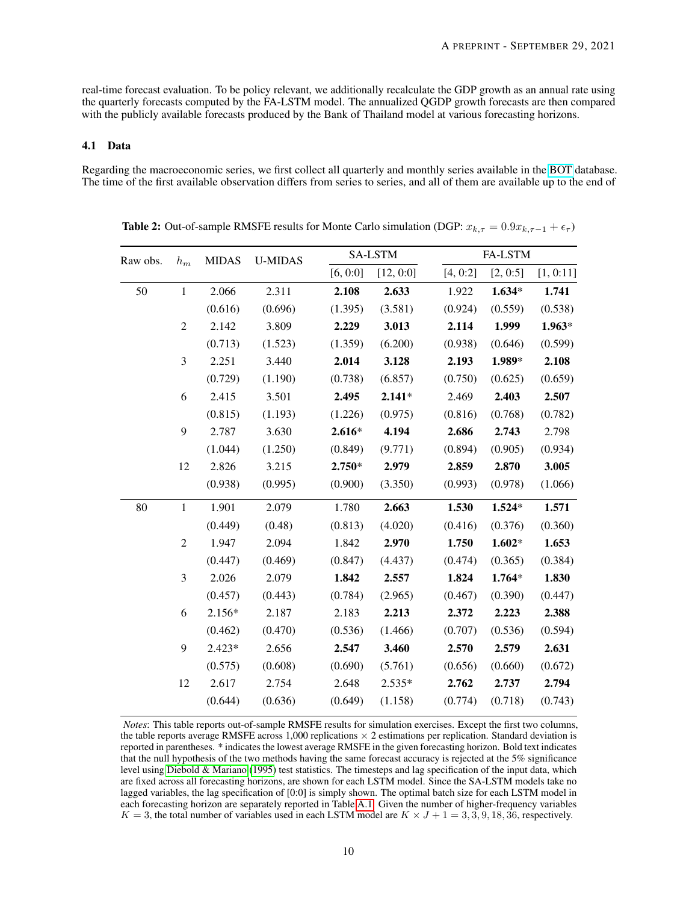real-time forecast evaluation. To be policy relevant, we additionally recalculate the GDP growth as an annual rate using the quarterly forecasts computed by the FA-LSTM model. The annualized QGDP growth forecasts are then compared with the publicly available forecasts produced by the Bank of Thailand model at various forecasting horizons.

#### 4.1 Data

Regarding the macroeconomic series, we first collect all quarterly and monthly series available in the [BOT](https://www.bot.or.th/English/Statistics/Pages/default.aspx) database. The time of the first available observation differs from series to series, and all of them are available up to the end of

| Raw obs. | $h_m$          | <b>MIDAS</b> | <b>U-MIDAS</b> |          | SA-LSTM   |          | FA-LSTM  |           |  |  |  |
|----------|----------------|--------------|----------------|----------|-----------|----------|----------|-----------|--|--|--|
|          |                |              |                | [6, 0:0] | [12, 0:0] | [4, 0:2] | [2, 0:5] | [1, 0:11] |  |  |  |
| 50       | $\mathbf{1}$   | 2.066        | 2.311          | 2.108    | 2.633     | 1.922    | $1.634*$ | 1.741     |  |  |  |
|          |                | (0.616)      | (0.696)        | (1.395)  | (3.581)   | (0.924)  | (0.559)  | (0.538)   |  |  |  |
|          | $\sqrt{2}$     | 2.142        | 3.809          | 2.229    | 3.013     | 2.114    | 1.999    | $1.963*$  |  |  |  |
|          |                | (0.713)      | (1.523)        | (1.359)  | (6.200)   | (0.938)  | (0.646)  | (0.599)   |  |  |  |
|          | 3              | 2.251        | 3.440          | 2.014    | 3.128     | 2.193    | 1.989*   | 2.108     |  |  |  |
|          |                | (0.729)      | (1.190)        | (0.738)  | (6.857)   | (0.750)  | (0.625)  | (0.659)   |  |  |  |
|          | 6              | 2.415        | 3.501          | 2.495    | $2.141*$  | 2.469    | 2.403    | 2.507     |  |  |  |
|          |                | (0.815)      | (1.193)        | (1.226)  | (0.975)   | (0.816)  | (0.768)  | (0.782)   |  |  |  |
|          | 9              | 2.787        | 3.630          | $2.616*$ | 4.194     | 2.686    | 2.743    | 2.798     |  |  |  |
|          |                | (1.044)      | (1.250)        | (0.849)  | (9.771)   | (0.894)  | (0.905)  | (0.934)   |  |  |  |
|          | 12             | 2.826        | 3.215          | 2.750*   | 2.979     | 2.859    | 2.870    | 3.005     |  |  |  |
|          |                | (0.938)      | (0.995)        | (0.900)  | (3.350)   | (0.993)  | (0.978)  | (1.066)   |  |  |  |
| 80       | $\mathbf{1}$   | 1.901        | 2.079          | 1.780    | 2.663     | 1.530    | $1.524*$ | 1.571     |  |  |  |
|          |                | (0.449)      | (0.48)         | (0.813)  | (4.020)   | (0.416)  | (0.376)  | (0.360)   |  |  |  |
|          | $\overline{2}$ | 1.947        | 2.094          | 1.842    | 2.970     | 1.750    | $1.602*$ | 1.653     |  |  |  |
|          |                | (0.447)      | (0.469)        | (0.847)  | (4.437)   | (0.474)  | (0.365)  | (0.384)   |  |  |  |
|          | 3              | 2.026        | 2.079          | 1.842    | 2.557     | 1.824    | $1.764*$ | 1.830     |  |  |  |
|          |                | (0.457)      | (0.443)        | (0.784)  | (2.965)   | (0.467)  | (0.390)  | (0.447)   |  |  |  |
|          | 6              | 2.156*       | 2.187          | 2.183    | 2.213     | 2.372    | 2.223    | 2.388     |  |  |  |
|          |                | (0.462)      | (0.470)        | (0.536)  | (1.466)   | (0.707)  | (0.536)  | (0.594)   |  |  |  |
|          | 9              | $2.423*$     | 2.656          | 2.547    | 3.460     | 2.570    | 2.579    | 2.631     |  |  |  |
|          |                | (0.575)      | (0.608)        | (0.690)  | (5.761)   | (0.656)  | (0.660)  | (0.672)   |  |  |  |
|          | 12             | 2.617        | 2.754          | 2.648    | $2.535*$  | 2.762    | 2.737    | 2.794     |  |  |  |
|          |                | (0.644)      | (0.636)        | (0.649)  | (1.158)   | (0.774)  | (0.718)  | (0.743)   |  |  |  |

<span id="page-9-0"></span>**Table 2:** Out-of-sample RMSFE results for Monte Carlo simulation (DGP:  $x_{k,\tau} = 0.9x_{k,\tau-1} + \epsilon_{\tau}$ )

*Notes*: This table reports out-of-sample RMSFE results for simulation exercises. Except the first two columns, the table reports average RMSFE across 1,000 replications  $\times$  2 estimations per replication. Standard deviation is reported in parentheses. \* indicates the lowest average RMSFE in the given forecasting horizon. Bold text indicates that the null hypothesis of the two methods having the same forecast accuracy is rejected at the 5% significance level using [Diebold & Mariano](#page-16-25) [\(1995\)](#page-16-25) test statistics. The timesteps and lag specification of the input data, which are fixed across all forecasting horizons, are shown for each LSTM model. Since the SA-LSTM models take no lagged variables, the lag specification of [0:0] is simply shown. The optimal batch size for each LSTM model in each forecasting horizon are separately reported in Table [A.1.](#page-18-0) Given the number of higher-frequency variables  $K = 3$ , the total number of variables used in each LSTM model are  $K \times J + 1 = 3, 3, 9, 18, 36$ , respectively.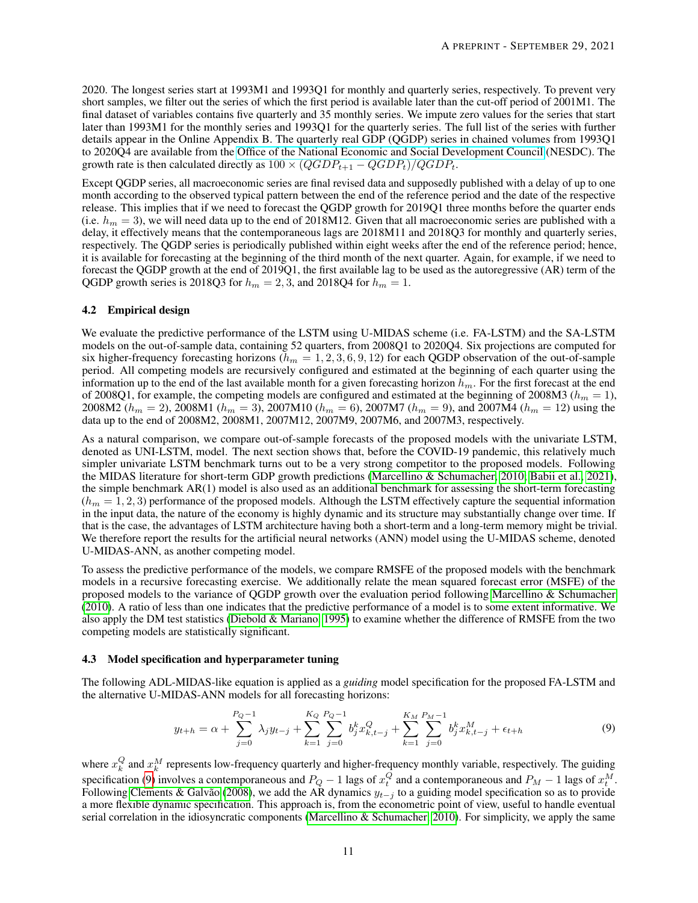2020. The longest series start at 1993M1 and 1993Q1 for monthly and quarterly series, respectively. To prevent very short samples, we filter out the series of which the first period is available later than the cut-off period of 2001M1. The final dataset of variables contains five quarterly and 35 monthly series. We impute zero values for the series that start later than 1993M1 for the monthly series and 1993Q1 for the quarterly series. The full list of the series with further details appear in the Online Appendix B. The quarterly real GDP (QGDP) series in chained volumes from 1993Q1 to 2020Q4 are available from the [Office of the National Economic and Social Development Council](https://www.nesdc.go.th/nesdb_en/main.php?filename=national_account) (NESDC). The growth rate is then calculated directly as  $100 \times (QGDP_{t+1} - QGDP_t)/QGDP_t$ .

Except QGDP series, all macroeconomic series are final revised data and supposedly published with a delay of up to one month according to the observed typical pattern between the end of the reference period and the date of the respective release. This implies that if we need to forecast the QGDP growth for 2019Q1 three months before the quarter ends (i.e.  $h_m = 3$ ), we will need data up to the end of 2018M12. Given that all macroeconomic series are published with a delay, it effectively means that the contemporaneous lags are 2018M11 and 2018Q3 for monthly and quarterly series, respectively. The QGDP series is periodically published within eight weeks after the end of the reference period; hence, it is available for forecasting at the beginning of the third month of the next quarter. Again, for example, if we need to forecast the QGDP growth at the end of 2019Q1, the first available lag to be used as the autoregressive (AR) term of the QGDP growth series is 2018Q3 for  $h_m = 2, 3$ , and 2018Q4 for  $h_m = 1$ .

#### 4.2 Empirical design

We evaluate the predictive performance of the LSTM using U-MIDAS scheme (i.e. FA-LSTM) and the SA-LSTM models on the out-of-sample data, containing 52 quarters, from 2008Q1 to 2020Q4. Six projections are computed for six higher-frequency forecasting horizons ( $h_m = 1, 2, 3, 6, 9, 12$ ) for each QGDP observation of the out-of-sample period. All competing models are recursively configured and estimated at the beginning of each quarter using the information up to the end of the last available month for a given forecasting horizon  $h_m$ . For the first forecast at the end of 2008Q1, for example, the competing models are configured and estimated at the beginning of 2008M3 ( $h_m = 1$ ), 2008M2 ( $h_m = 2$ ), 2008M1 ( $h_m = 3$ ), 2007M10 ( $h_m = 6$ ), 2007M7 ( $h_m = 9$ ), and 2007M4 ( $h_m = 12$ ) using the data up to the end of 2008M2, 2008M1, 2007M12, 2007M9, 2007M6, and 2007M3, respectively.

As a natural comparison, we compare out-of-sample forecasts of the proposed models with the univariate LSTM, denoted as UNI-LSTM, model. The next section shows that, before the COVID-19 pandemic, this relatively much simpler univariate LSTM benchmark turns out to be a very strong competitor to the proposed models. Following the MIDAS literature for short-term GDP growth predictions [\(Marcellino & Schumacher, 2010;](#page-16-8) [Babii et al., 2021\)](#page-16-16), the simple benchmark AR(1) model is also used as an additional benchmark for assessing the short-term forecasting  $(h_m = 1, 2, 3)$  performance of the proposed models. Although the LSTM effectively capture the sequential information in the input data, the nature of the economy is highly dynamic and its structure may substantially change over time. If that is the case, the advantages of LSTM architecture having both a short-term and a long-term memory might be trivial. We therefore report the results for the artificial neural networks (ANN) model using the U-MIDAS scheme, denoted U-MIDAS-ANN, as another competing model.

To assess the predictive performance of the models, we compare RMSFE of the proposed models with the benchmark models in a recursive forecasting exercise. We additionally relate the mean squared forecast error (MSFE) of the proposed models to the variance of QGDP growth over the evaluation period following [Marcellino & Schumacher](#page-16-8) [\(2010\)](#page-16-8). A ratio of less than one indicates that the predictive performance of a model is to some extent informative. We also apply the DM test statistics [\(Diebold & Mariano, 1995\)](#page-16-25) to examine whether the difference of RMSFE from the two competing models are statistically significant.

#### 4.3 Model specification and hyperparameter tuning

The following ADL-MIDAS-like equation is applied as a *guiding* model specification for the proposed FA-LSTM and the alternative U-MIDAS-ANN models for all forecasting horizons:

<span id="page-10-0"></span>
$$
y_{t+h} = \alpha + \sum_{j=0}^{P_Q - 1} \lambda_j y_{t-j} + \sum_{k=1}^{K_Q} \sum_{j=0}^{P_Q - 1} b_j^k x_{k,t-j}^Q + \sum_{k=1}^{K_M} \sum_{j=0}^{P_M - 1} b_j^k x_{k,t-j}^M + \epsilon_{t+h}
$$
(9)

where  $x_k^Q$  and  $x_k^M$  represents low-frequency quarterly and higher-frequency monthly variable, respectively. The guiding specification [\(9\)](#page-10-0) involves a contemporaneous and  $P_Q - 1$  lags of  $x_t^Q$  and a contemporaneous and  $P_M - 1$  lags of  $x_t^M$ . Following [Clements & Galvão](#page-16-6) [\(2008\)](#page-16-6), we add the AR dynamics  $y_{t-j}$  to a guiding model specification so as to provide a more flexible dynamic specification. This approach is, from the econometric point of view, useful to handle eventual serial correlation in the idiosyncratic components (Marcellino  $\&$  Schumacher, 2010). For simplicity, we apply the same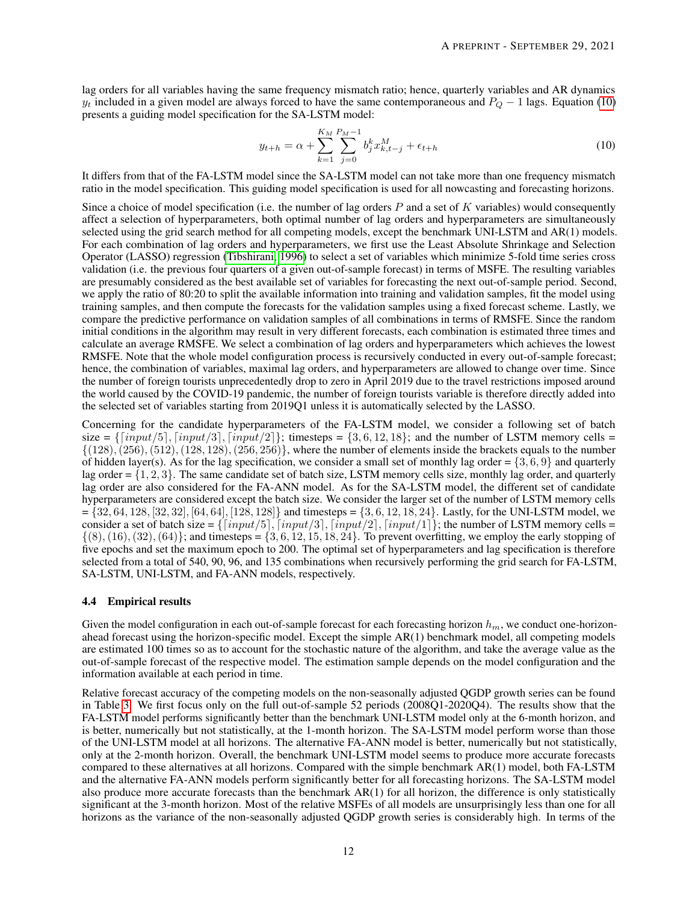lag orders for all variables having the same frequency mismatch ratio; hence, quarterly variables and AR dynamics  $y_t$  included in a given model are always forced to have the same contemporaneous and  $P_Q - 1$  lags. Equation [\(10\)](#page-11-0) presents a guiding model specification for the SA-LSTM model:

<span id="page-11-0"></span>
$$
y_{t+h} = \alpha + \sum_{k=1}^{K_M} \sum_{j=0}^{P_M - 1} b_j^k x_{k,t-j}^M + \epsilon_{t+h}
$$
\n(10)

It differs from that of the FA-LSTM model since the SA-LSTM model can not take more than one frequency mismatch ratio in the model specification. This guiding model specification is used for all nowcasting and forecasting horizons.

Since a choice of model specification (i.e. the number of lag orders  $P$  and a set of  $K$  variables) would consequently affect a selection of hyperparameters, both optimal number of lag orders and hyperparameters are simultaneously selected using the grid search method for all competing models, except the benchmark UNI-LSTM and AR(1) models. For each combination of lag orders and hyperparameters, we first use the Least Absolute Shrinkage and Selection Operator (LASSO) regression [\(Tibshirani, 1996\)](#page-17-3) to select a set of variables which minimize 5-fold time series cross validation (i.e. the previous four quarters of a given out-of-sample forecast) in terms of MSFE. The resulting variables are presumably considered as the best available set of variables for forecasting the next out-of-sample period. Second, we apply the ratio of 80:20 to split the available information into training and validation samples, fit the model using training samples, and then compute the forecasts for the validation samples using a fixed forecast scheme. Lastly, we compare the predictive performance on validation samples of all combinations in terms of RMSFE. Since the random initial conditions in the algorithm may result in very different forecasts, each combination is estimated three times and calculate an average RMSFE. We select a combination of lag orders and hyperparameters which achieves the lowest RMSFE. Note that the whole model configuration process is recursively conducted in every out-of-sample forecast; hence, the combination of variables, maximal lag orders, and hyperparameters are allowed to change over time. Since the number of foreign tourists unprecedentedly drop to zero in April 2019 due to the travel restrictions imposed around the world caused by the COVID-19 pandemic, the number of foreign tourists variable is therefore directly added into the selected set of variables starting from 2019Q1 unless it is automatically selected by the LASSO.

Concerning for the candidate hyperparameters of the FA-LSTM model, we consider a following set of batch size =  $\{[input/5], [input/3], [input/2]\}$ ; timesteps =  $\{3, 6, 12, 18\}$ ; and the number of LSTM memory cells =  $\{(128), (256), (512), (128, 128), (256, 256)\}\,$ , where the number of elements inside the brackets equals to the number of hidden layer(s). As for the lag specification, we consider a small set of monthly lag order =  $\{3, 6, 9\}$  and quarterly lag order  $=\{1, 2, 3\}$ . The same candidate set of batch size, LSTM memory cells size, monthly lag order, and quarterly lag order are also considered for the FA-ANN model. As for the SA-LSTM model, the different set of candidate hyperparameters are considered except the batch size. We consider the larger set of the number of LSTM memory cells  $= \{32, 64, 128, [32, 32], [64, 64], [128, 128]\}$  and timesteps  $= \{3, 6, 12, 18, 24\}$ . Lastly, for the UNI-LSTM model, we consider a set of batch size =  $\{[input/5], [input/3], [input/2], [input/1]\}$ ; the number of LSTM memory cells =  $\{(8), (16), (32), (64)\}$ ; and timesteps =  $\{3, 6, 12, 15, 18, 24\}$ . To prevent overfitting, we employ the early stopping of five epochs and set the maximum epoch to 200. The optimal set of hyperparameters and lag specification is therefore selected from a total of 540, 90, 96, and 135 combinations when recursively performing the grid search for FA-LSTM, SA-LSTM, UNI-LSTM, and FA-ANN models, respectively.

#### 4.4 Empirical results

Given the model configuration in each out-of-sample forecast for each forecasting horizon  $h_m$ , we conduct one-horizonahead forecast using the horizon-specific model. Except the simple AR(1) benchmark model, all competing models are estimated 100 times so as to account for the stochastic nature of the algorithm, and take the average value as the out-of-sample forecast of the respective model. The estimation sample depends on the model configuration and the information available at each period in time.

Relative forecast accuracy of the competing models on the non-seasonally adjusted QGDP growth series can be found in Table [3.](#page-12-0) We first focus only on the full out-of-sample 52 periods (2008Q1-2020Q4). The results show that the FA-LSTM model performs significantly better than the benchmark UNI-LSTM model only at the 6-month horizon, and is better, numerically but not statistically, at the 1-month horizon. The SA-LSTM model perform worse than those of the UNI-LSTM model at all horizons. The alternative FA-ANN model is better, numerically but not statistically, only at the 2-month horizon. Overall, the benchmark UNI-LSTM model seems to produce more accurate forecasts compared to these alternatives at all horizons. Compared with the simple benchmark AR(1) model, both FA-LSTM and the alternative FA-ANN models perform significantly better for all forecasting horizons. The SA-LSTM model also produce more accurate forecasts than the benchmark AR(1) for all horizon, the difference is only statistically significant at the 3-month horizon. Most of the relative MSFEs of all models are unsurprisingly less than one for all horizons as the variance of the non-seasonally adjusted QGDP growth series is considerably high. In terms of the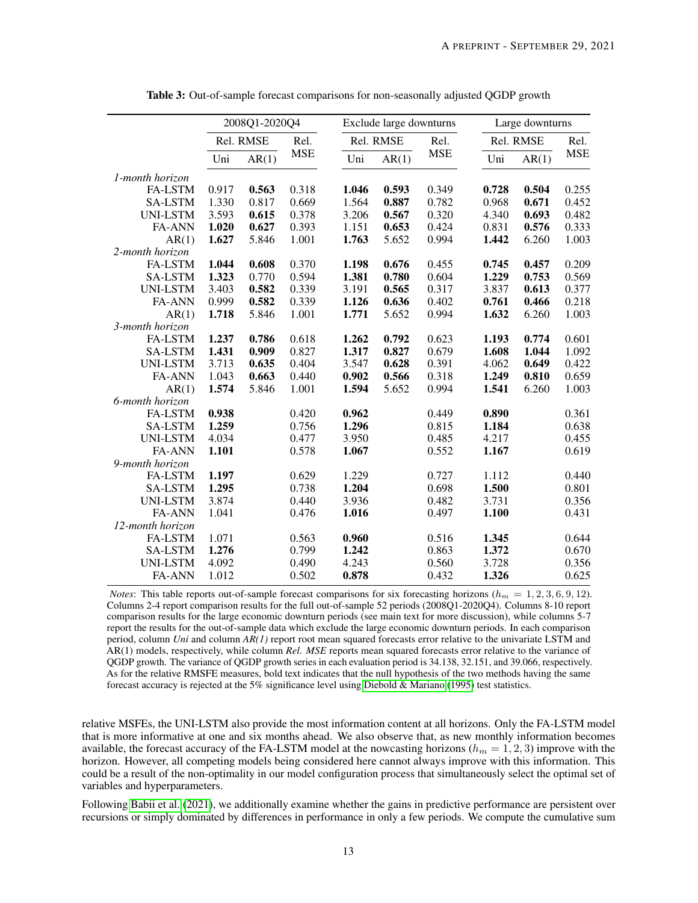<span id="page-12-0"></span>

|                  | 2008Q1-2020Q4 |           |            |       | Exclude large downturns |            | Large downturns |           |            |  |  |
|------------------|---------------|-----------|------------|-------|-------------------------|------------|-----------------|-----------|------------|--|--|
|                  |               | Rel. RMSE | Rel.       |       | Rel. RMSE               | Rel.       |                 | Rel. RMSE | Rel.       |  |  |
|                  | Uni           | AR(1)     | <b>MSE</b> | Uni   | AR(1)                   | <b>MSE</b> | Uni             | AR(1)     | <b>MSE</b> |  |  |
| 1-month horizon  |               |           |            |       |                         |            |                 |           |            |  |  |
| <b>FA-LSTM</b>   | 0.917         | 0.563     | 0.318      | 1.046 | 0.593                   | 0.349      | 0.728           | 0.504     | 0.255      |  |  |
| <b>SA-LSTM</b>   | 1.330         | 0.817     | 0.669      | 1.564 | 0.887                   | 0.782      | 0.968           | 0.671     | 0.452      |  |  |
| UNI-LSTM         | 3.593         | 0.615     | 0.378      | 3.206 | 0.567                   | 0.320      | 4.340           | 0.693     | 0.482      |  |  |
| <b>FA-ANN</b>    | 1.020         | 0.627     | 0.393      | 1.151 | 0.653                   | 0.424      | 0.831           | 0.576     | 0.333      |  |  |
| AR(1)            | 1.627         | 5.846     | 1.001      | 1.763 | 5.652                   | 0.994      | 1.442           | 6.260     | 1.003      |  |  |
| 2-month horizon  |               |           |            |       |                         |            |                 |           |            |  |  |
| FA-LSTM          | 1.044         | 0.608     | 0.370      | 1.198 | 0.676                   | 0.455      | 0.745           | 0.457     | 0.209      |  |  |
| <b>SA-LSTM</b>   | 1.323         | 0.770     | 0.594      | 1.381 | 0.780                   | 0.604      | 1.229           | 0.753     | 0.569      |  |  |
| UNI-LSTM         | 3.403         | 0.582     | 0.339      | 3.191 | 0.565                   | 0.317      | 3.837           | 0.613     | 0.377      |  |  |
| <b>FA-ANN</b>    | 0.999         | 0.582     | 0.339      | 1.126 | 0.636                   | 0.402      | 0.761           | 0.466     | 0.218      |  |  |
| AR(1)            | 1.718         | 5.846     | 1.001      | 1.771 | 5.652                   | 0.994      | 1.632           | 6.260     | 1.003      |  |  |
| 3-month horizon  |               |           |            |       |                         |            |                 |           |            |  |  |
| <b>FA-LSTM</b>   | 1.237         | 0.786     | 0.618      | 1.262 | 0.792                   | 0.623      | 1.193           | 0.774     | 0.601      |  |  |
| <b>SA-LSTM</b>   | 1.431         | 0.909     | 0.827      | 1.317 | 0.827                   | 0.679      | 1.608           | 1.044     | 1.092      |  |  |
| UNI-LSTM         | 3.713         | 0.635     | 0.404      | 3.547 | 0.628                   | 0.391      | 4.062           | 0.649     | 0.422      |  |  |
| <b>FA-ANN</b>    | 1.043         | 0.663     | 0.440      | 0.902 | 0.566                   | 0.318      | 1.249           | 0.810     | 0.659      |  |  |
| AR(1)            | 1.574         | 5.846     | 1.001      | 1.594 | 5.652                   | 0.994      | 1.541           | 6.260     | 1.003      |  |  |
| 6-month horizon  |               |           |            |       |                         |            |                 |           |            |  |  |
| <b>FA-LSTM</b>   | 0.938         |           | 0.420      | 0.962 |                         | 0.449      | 0.890           |           | 0.361      |  |  |
| <b>SA-LSTM</b>   | 1.259         |           | 0.756      | 1.296 |                         | 0.815      | 1.184           |           | 0.638      |  |  |
| UNI-LSTM         | 4.034         |           | 0.477      | 3.950 |                         | 0.485      | 4.217           |           | 0.455      |  |  |
| <b>FA-ANN</b>    | 1.101         |           | 0.578      | 1.067 |                         | 0.552      | 1.167           |           | 0.619      |  |  |
| 9-month horizon  |               |           |            |       |                         |            |                 |           |            |  |  |
| <b>FA-LSTM</b>   | 1.197         |           | 0.629      | 1.229 |                         | 0.727      | 1.112           |           | 0.440      |  |  |
| <b>SA-LSTM</b>   | 1.295         |           | 0.738      | 1.204 |                         | 0.698      | 1.500           |           | 0.801      |  |  |
| <b>UNI-LSTM</b>  | 3.874         |           | 0.440      | 3.936 |                         | 0.482      | 3.731           |           | 0.356      |  |  |
| <b>FA-ANN</b>    | 1.041         |           | 0.476      | 1.016 |                         | 0.497      | 1.100           |           | 0.431      |  |  |
| 12-month horizon |               |           |            |       |                         |            |                 |           |            |  |  |
| FA-LSTM          | 1.071         |           | 0.563      | 0.960 |                         | 0.516      | 1.345           |           | 0.644      |  |  |
| <b>SA-LSTM</b>   | 1.276         |           | 0.799      | 1.242 |                         | 0.863      | 1.372           |           | 0.670      |  |  |
| <b>UNI-LSTM</b>  | 4.092         |           | 0.490      | 4.243 |                         | 0.560      | 3.728           |           | 0.356      |  |  |
| <b>FA-ANN</b>    | 1.012         |           | 0.502      | 0.878 |                         | 0.432      | 1.326           |           | 0.625      |  |  |

Table 3: Out-of-sample forecast comparisons for non-seasonally adjusted QGDP growth

*Notes*: This table reports out-of-sample forecast comparisons for six forecasting horizons  $(h_m = 1, 2, 3, 6, 9, 12)$ . Columns 2-4 report comparison results for the full out-of-sample 52 periods (2008Q1-2020Q4). Columns 8-10 report comparison results for the large economic downturn periods (see main text for more discussion), while columns 5-7 report the results for the out-of-sample data which exclude the large economic downturn periods. In each comparison period, column *Uni* and column *AR(1)* report root mean squared forecasts error relative to the univariate LSTM and AR(1) models, respectively, while column *Rel. MSE* reports mean squared forecasts error relative to the variance of QGDP growth. The variance of QGDP growth series in each evaluation period is 34.138, 32.151, and 39.066, respectively. As for the relative RMSFE measures, bold text indicates that the null hypothesis of the two methods having the same forecast accuracy is rejected at the 5% significance level using [Diebold & Mariano](#page-16-25) [\(1995\)](#page-16-25) test statistics.

relative MSFEs, the UNI-LSTM also provide the most information content at all horizons. Only the FA-LSTM model that is more informative at one and six months ahead. We also observe that, as new monthly information becomes available, the forecast accuracy of the FA-LSTM model at the nowcasting horizons  $(h_m = 1, 2, 3)$  improve with the horizon. However, all competing models being considered here cannot always improve with this information. This could be a result of the non-optimality in our model configuration process that simultaneously select the optimal set of variables and hyperparameters.

Following [Babii et al.](#page-16-16) [\(2021\)](#page-16-16), we additionally examine whether the gains in predictive performance are persistent over recursions or simply dominated by differences in performance in only a few periods. We compute the cumulative sum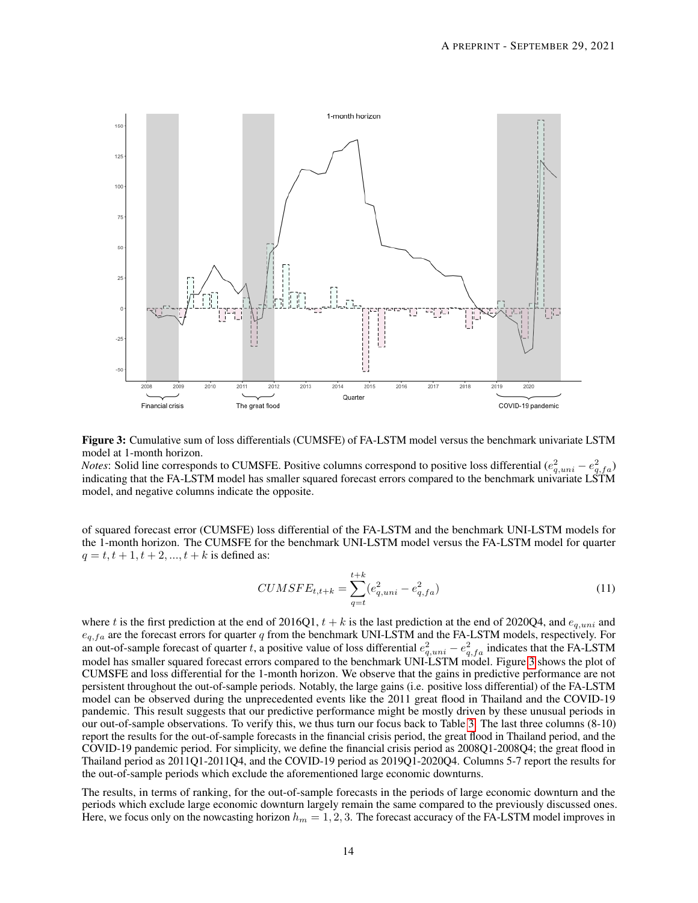<span id="page-13-0"></span>

Figure 3: Cumulative sum of loss differentials (CUMSFE) of FA-LSTM model versus the benchmark univariate LSTM model at 1-month horizon.

*Notes*: Solid line corresponds to CUMSFE. Positive columns correspond to positive loss differential  $(e_{q,uni}^2 - e_{q,fa}^2)$ indicating that the FA-LSTM model has smaller squared forecast errors compared to the benchmark univariate LSTM model, and negative columns indicate the opposite.

of squared forecast error (CUMSFE) loss differential of the FA-LSTM and the benchmark UNI-LSTM models for the 1-month horizon. The CUMSFE for the benchmark UNI-LSTM model versus the FA-LSTM model for quarter  $q = t, t + 1, t + 2, ..., t + k$  is defined as:

$$
CUMSFE_{t,t+k} = \sum_{q=t}^{t+k} (e_{q,uni}^2 - e_{q,fa}^2)
$$
\n(11)

where t is the first prediction at the end of 2016Q1,  $t + k$  is the last prediction at the end of 2020Q4, and  $e_{q,uni}$  and  $e_{q,f_a}$  are the forecast errors for quarter q from the benchmark UNI-LSTM and the FA-LSTM models, respectively. For an out-of-sample forecast of quarter t, a positive value of loss differential  $e_{q,uni}^2 - e_{q,fa}^2$  indicates that the FA-LSTM model has smaller squared forecast errors compared to the benchmark UNI-LSTM model. Figure [3](#page-13-0) shows the plot of CUMSFE and loss differential for the 1-month horizon. We observe that the gains in predictive performance are not persistent throughout the out-of-sample periods. Notably, the large gains (i.e. positive loss differential) of the FA-LSTM model can be observed during the unprecedented events like the 2011 great flood in Thailand and the COVID-19 pandemic. This result suggests that our predictive performance might be mostly driven by these unusual periods in our out-of-sample observations. To verify this, we thus turn our focus back to Table [3.](#page-12-0) The last three columns (8-10) report the results for the out-of-sample forecasts in the financial crisis period, the great flood in Thailand period, and the COVID-19 pandemic period. For simplicity, we define the financial crisis period as 2008Q1-2008Q4; the great flood in Thailand period as 2011Q1-2011Q4, and the COVID-19 period as 2019Q1-2020Q4. Columns 5-7 report the results for the out-of-sample periods which exclude the aforementioned large economic downturns.

The results, in terms of ranking, for the out-of-sample forecasts in the periods of large economic downturn and the periods which exclude large economic downturn largely remain the same compared to the previously discussed ones. Here, we focus only on the nowcasting horizon  $h_m = 1, 2, 3$ . The forecast accuracy of the FA-LSTM model improves in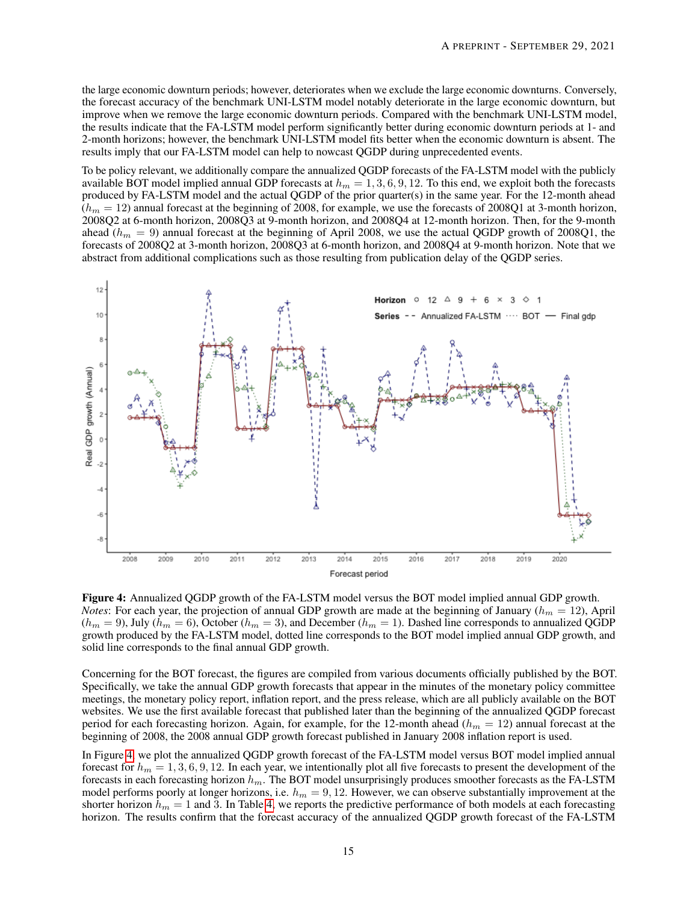the large economic downturn periods; however, deteriorates when we exclude the large economic downturns. Conversely, the forecast accuracy of the benchmark UNI-LSTM model notably deteriorate in the large economic downturn, but improve when we remove the large economic downturn periods. Compared with the benchmark UNI-LSTM model, the results indicate that the FA-LSTM model perform significantly better during economic downturn periods at 1- and 2-month horizons; however, the benchmark UNI-LSTM model fits better when the economic downturn is absent. The results imply that our FA-LSTM model can help to nowcast QGDP during unprecedented events.

To be policy relevant, we additionally compare the annualized QGDP forecasts of the FA-LSTM model with the publicly available BOT model implied annual GDP forecasts at  $h_m = 1, 3, 6, 9, 12$ . To this end, we exploit both the forecasts produced by FA-LSTM model and the actual QGDP of the prior quarter(s) in the same year. For the 12-month ahead  $(h_m = 12)$  annual forecast at the beginning of 2008, for example, we use the forecasts of 2008Q1 at 3-month horizon, 2008Q2 at 6-month horizon, 2008Q3 at 9-month horizon, and 2008Q4 at 12-month horizon. Then, for the 9-month ahead ( $h_m = 9$ ) annual forecast at the beginning of April 2008, we use the actual QGDP growth of 2008Q1, the forecasts of 2008Q2 at 3-month horizon, 2008Q3 at 6-month horizon, and 2008Q4 at 9-month horizon. Note that we abstract from additional complications such as those resulting from publication delay of the QGDP series.

<span id="page-14-0"></span>

Figure 4: Annualized QGDP growth of the FA-LSTM model versus the BOT model implied annual GDP growth. *Notes*: For each year, the projection of annual GDP growth are made at the beginning of January ( $h_m = 12$ ), April  $(h_m = 9)$ , July  $(h_m = 6)$ , October  $(h_m = 3)$ , and December  $(h_m = 1)$ . Dashed line corresponds to annualized QGDP growth produced by the FA-LSTM model, dotted line corresponds to the BOT model implied annual GDP growth, and solid line corresponds to the final annual GDP growth.

Concerning for the BOT forecast, the figures are compiled from various documents officially published by the BOT. Specifically, we take the annual GDP growth forecasts that appear in the minutes of the monetary policy committee meetings, the monetary policy report, inflation report, and the press release, which are all publicly available on the BOT websites. We use the first available forecast that published later than the beginning of the annualized QGDP forecast period for each forecasting horizon. Again, for example, for the 12-month ahead ( $h_m = 12$ ) annual forecast at the beginning of 2008, the 2008 annual GDP growth forecast published in January 2008 inflation report is used.

In Figure [4,](#page-14-0) we plot the annualized QGDP growth forecast of the FA-LSTM model versus BOT model implied annual forecast for  $h_m = 1, 3, 6, 9, 12$ . In each year, we intentionally plot all five forecasts to present the development of the forecasts in each forecasting horizon  $h_m$ . The BOT model unsurprisingly produces smoother forecasts as the FA-LSTM model performs poorly at longer horizons, i.e.  $h_m = 9, 12$ . However, we can observe substantially improvement at the shorter horizon  $h_m = 1$  and 3. In Table [4,](#page-15-1) we reports the predictive performance of both models at each forecasting horizon. The results confirm that the forecast accuracy of the annualized QGDP growth forecast of the FA-LSTM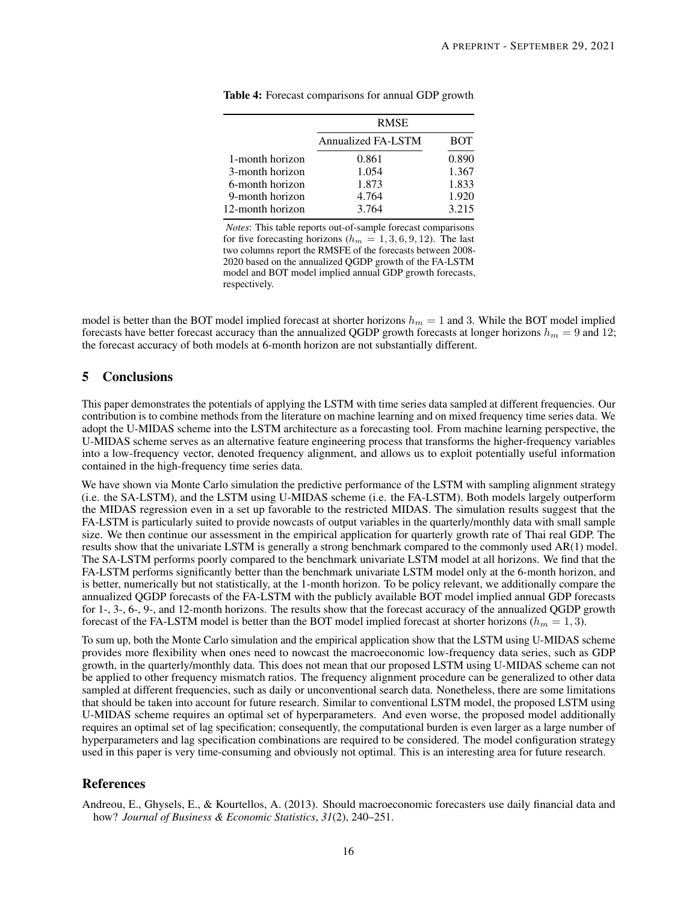|                  | <b>RMSE</b>        |            |
|------------------|--------------------|------------|
|                  | Annualized FA-LSTM | <b>BOT</b> |
| 1-month horizon  | 0.861              | 0.890      |
| 3-month horizon  | 1.054              | 1.367      |
| 6-month horizon  | 1.873              | 1.833      |
| 9-month horizon  | 4.764              | 1.920      |
| 12-month horizon | 3.764              | 3.215      |

<span id="page-15-1"></span>Table 4: Forecast comparisons for annual GDP growth

*Notes*: This table reports out-of-sample forecast comparisons for five forecasting horizons ( $h_m = 1, 3, 6, 9, 12$ ). The last two columns report the RMSFE of the forecasts between 2008- 2020 based on the annualized QGDP growth of the FA-LSTM model and BOT model implied annual GDP growth forecasts, respectively.

model is better than the BOT model implied forecast at shorter horizons  $h_m = 1$  and 3. While the BOT model implied forecasts have better forecast accuracy than the annualized QGDP growth forecasts at longer horizons  $h_m = 9$  and 12; the forecast accuracy of both models at 6-month horizon are not substantially different.

## 5 Conclusions

This paper demonstrates the potentials of applying the LSTM with time series data sampled at different frequencies. Our contribution is to combine methods from the literature on machine learning and on mixed frequency time series data. We adopt the U-MIDAS scheme into the LSTM architecture as a forecasting tool. From machine learning perspective, the U-MIDAS scheme serves as an alternative feature engineering process that transforms the higher-frequency variables into a low-frequency vector, denoted frequency alignment, and allows us to exploit potentially useful information contained in the high-frequency time series data.

We have shown via Monte Carlo simulation the predictive performance of the LSTM with sampling alignment strategy (i.e. the SA-LSTM), and the LSTM using U-MIDAS scheme (i.e. the FA-LSTM). Both models largely outperform the MIDAS regression even in a set up favorable to the restricted MIDAS. The simulation results suggest that the FA-LSTM is particularly suited to provide nowcasts of output variables in the quarterly/monthly data with small sample size. We then continue our assessment in the empirical application for quarterly growth rate of Thai real GDP. The results show that the univariate LSTM is generally a strong benchmark compared to the commonly used AR(1) model. The SA-LSTM performs poorly compared to the benchmark univariate LSTM model at all horizons. We find that the FA-LSTM performs significantly better than the benchmark univariate LSTM model only at the 6-month horizon, and is better, numerically but not statistically, at the 1-month horizon. To be policy relevant, we additionally compare the annualized QGDP forecasts of the FA-LSTM with the publicly available BOT model implied annual GDP forecasts for 1-, 3-, 6-, 9-, and 12-month horizons. The results show that the forecast accuracy of the annualized QGDP growth forecast of the FA-LSTM model is better than the BOT model implied forecast at shorter horizons ( $h_m = 1, 3$ ).

To sum up, both the Monte Carlo simulation and the empirical application show that the LSTM using U-MIDAS scheme provides more flexibility when ones need to nowcast the macroeconomic low-frequency data series, such as GDP growth, in the quarterly/monthly data. This does not mean that our proposed LSTM using U-MIDAS scheme can not be applied to other frequency mismatch ratios. The frequency alignment procedure can be generalized to other data sampled at different frequencies, such as daily or unconventional search data. Nonetheless, there are some limitations that should be taken into account for future research. Similar to conventional LSTM model, the proposed LSTM using U-MIDAS scheme requires an optimal set of hyperparameters. And even worse, the proposed model additionally requires an optimal set of lag specification; consequently, the computational burden is even larger as a large number of hyperparameters and lag specification combinations are required to be considered. The model configuration strategy used in this paper is very time-consuming and obviously not optimal. This is an interesting area for future research.

## References

<span id="page-15-0"></span>Andreou, E., Ghysels, E., & Kourtellos, A. (2013). Should macroeconomic forecasters use daily financial data and how? *Journal of Business & Economic Statistics*, *31*(2), 240–251.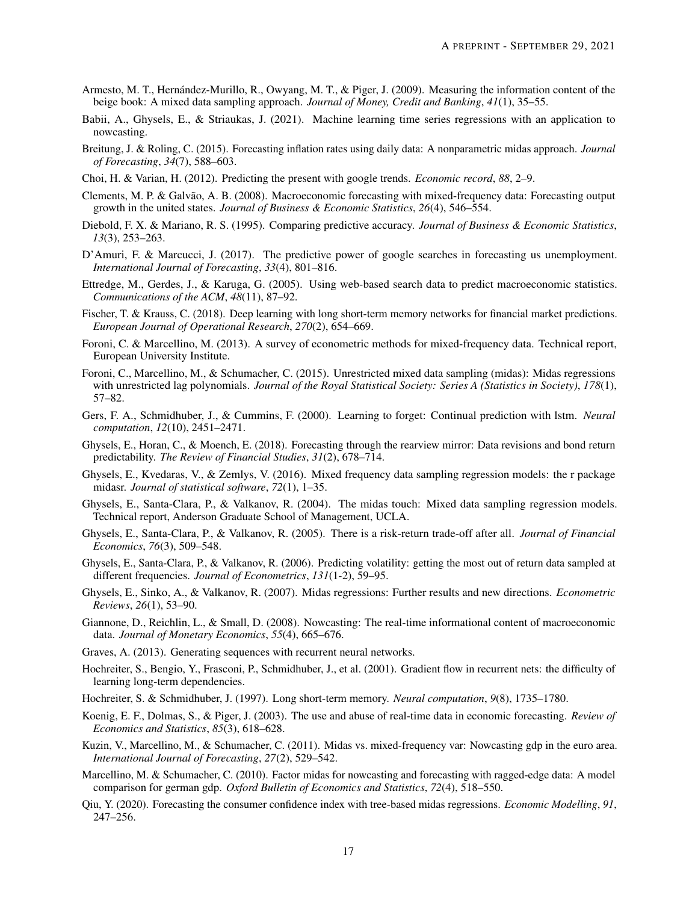- <span id="page-16-7"></span>Armesto, M. T., Hernández-Murillo, R., Owyang, M. T., & Piger, J. (2009). Measuring the information content of the beige book: A mixed data sampling approach. *Journal of Money, Credit and Banking*, *41*(1), 35–55.
- <span id="page-16-16"></span>Babii, A., Ghysels, E., & Striaukas, J. (2021). Machine learning time series regressions with an application to nowcasting.
- <span id="page-16-10"></span>Breitung, J. & Roling, C. (2015). Forecasting inflation rates using daily data: A nonparametric midas approach. *Journal of Forecasting*, *34*(7), 588–603.
- <span id="page-16-13"></span>Choi, H. & Varian, H. (2012). Predicting the present with google trends. *Economic record*, *88*, 2–9.
- <span id="page-16-6"></span>Clements, M. P. & Galvão, A. B. (2008). Macroeconomic forecasting with mixed-frequency data: Forecasting output growth in the united states. *Journal of Business & Economic Statistics*, *26*(4), 546–554.
- <span id="page-16-25"></span>Diebold, F. X. & Mariano, R. S. (1995). Comparing predictive accuracy. *Journal of Business & Economic Statistics*, *13*(3), 253–263.
- <span id="page-16-14"></span>D'Amuri, F. & Marcucci, J. (2017). The predictive power of google searches in forecasting us unemployment. *International Journal of Forecasting*, *33*(4), 801–816.
- <span id="page-16-12"></span>Ettredge, M., Gerdes, J., & Karuga, G. (2005). Using web-based search data to predict macroeconomic statistics. *Communications of the ACM*, *48*(11), 87–92.
- <span id="page-16-21"></span>Fischer, T. & Krauss, C. (2018). Deep learning with long short-term memory networks for financial market predictions. *European Journal of Operational Research*, *270*(2), 654–669.
- <span id="page-16-3"></span>Foroni, C. & Marcellino, M. (2013). A survey of econometric methods for mixed-frequency data. Technical report, European University Institute.
- <span id="page-16-0"></span>Foroni, C., Marcellino, M., & Schumacher, C. (2015). Unrestricted mixed data sampling (midas): Midas regressions with unrestricted lag polynomials. *Journal of the Royal Statistical Society: Series A (Statistics in Society)*, *178*(1), 57–82.
- <span id="page-16-19"></span>Gers, F. A., Schmidhuber, J., & Cummins, F. (2000). Learning to forget: Continual prediction with lstm. *Neural computation*, *12*(10), 2451–2471.
- <span id="page-16-2"></span>Ghysels, E., Horan, C., & Moench, E. (2018). Forecasting through the rearview mirror: Data revisions and bond return predictability. *The Review of Financial Studies*, *31*(2), 678–714.
- <span id="page-16-24"></span>Ghysels, E., Kvedaras, V., & Zemlys, V. (2016). Mixed frequency data sampling regression models: the r package midasr. *Journal of statistical software*, *72*(1), 1–35.
- <span id="page-16-22"></span>Ghysels, E., Santa-Clara, P., & Valkanov, R. (2004). The midas touch: Mixed data sampling regression models. Technical report, Anderson Graduate School of Management, UCLA.
- <span id="page-16-23"></span>Ghysels, E., Santa-Clara, P., & Valkanov, R. (2005). There is a risk-return trade-off after all. *Journal of Financial Economics*, *76*(3), 509–548.
- <span id="page-16-4"></span>Ghysels, E., Santa-Clara, P., & Valkanov, R. (2006). Predicting volatility: getting the most out of return data sampled at different frequencies. *Journal of Econometrics*, *131*(1-2), 59–95.
- <span id="page-16-5"></span>Ghysels, E., Sinko, A., & Valkanov, R. (2007). Midas regressions: Further results and new directions. *Econometric Reviews*, *26*(1), 53–90.
- <span id="page-16-1"></span>Giannone, D., Reichlin, L., & Small, D. (2008). Nowcasting: The real-time informational content of macroeconomic data. *Journal of Monetary Economics*, *55*(4), 665–676.
- <span id="page-16-20"></span>Graves, A. (2013). Generating sequences with recurrent neural networks.
- <span id="page-16-18"></span>Hochreiter, S., Bengio, Y., Frasconi, P., Schmidhuber, J., et al. (2001). Gradient flow in recurrent nets: the difficulty of learning long-term dependencies.
- <span id="page-16-17"></span>Hochreiter, S. & Schmidhuber, J. (1997). Long short-term memory. *Neural computation*, *9*(8), 1735–1780.
- <span id="page-16-11"></span>Koenig, E. F., Dolmas, S., & Piger, J. (2003). The use and abuse of real-time data in economic forecasting. *Review of Economics and Statistics*, *85*(3), 618–628.
- <span id="page-16-9"></span>Kuzin, V., Marcellino, M., & Schumacher, C. (2011). Midas vs. mixed-frequency var: Nowcasting gdp in the euro area. *International Journal of Forecasting*, *27*(2), 529–542.
- <span id="page-16-8"></span>Marcellino, M. & Schumacher, C. (2010). Factor midas for nowcasting and forecasting with ragged-edge data: A model comparison for german gdp. *Oxford Bulletin of Economics and Statistics*, *72*(4), 518–550.
- <span id="page-16-15"></span>Qiu, Y. (2020). Forecasting the consumer confidence index with tree-based midas regressions. *Economic Modelling*, *91*, 247–256.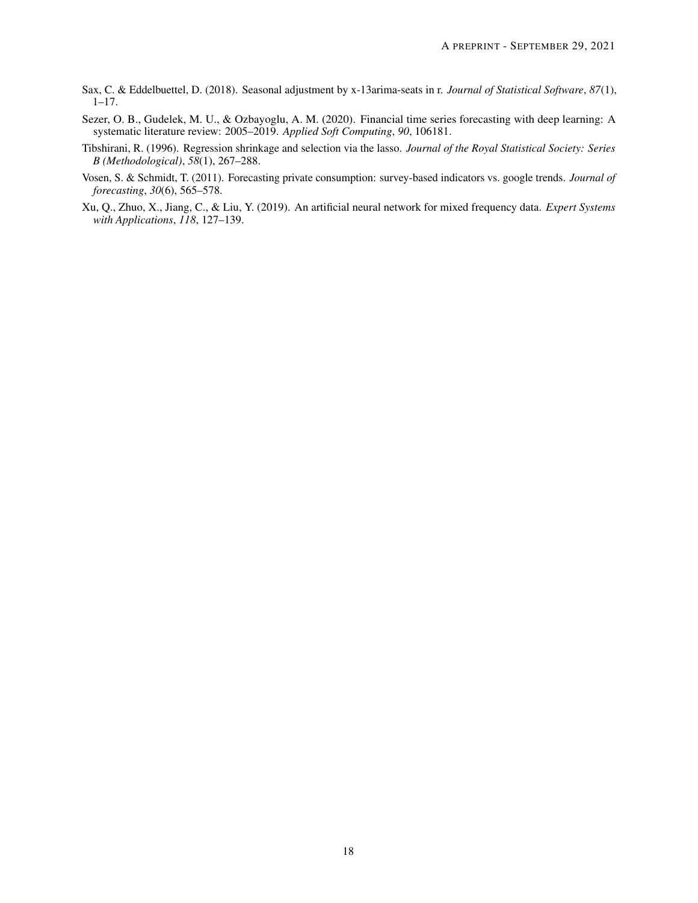- <span id="page-17-4"></span>Sax, C. & Eddelbuettel, D. (2018). Seasonal adjustment by x-13arima-seats in r. *Journal of Statistical Software*, *87*(1),  $1-17.$
- <span id="page-17-2"></span>Sezer, O. B., Gudelek, M. U., & Ozbayoglu, A. M. (2020). Financial time series forecasting with deep learning: A systematic literature review: 2005–2019. *Applied Soft Computing*, *90*, 106181.
- <span id="page-17-3"></span>Tibshirani, R. (1996). Regression shrinkage and selection via the lasso. *Journal of the Royal Statistical Society: Series B (Methodological)*, *58*(1), 267–288.
- <span id="page-17-0"></span>Vosen, S. & Schmidt, T. (2011). Forecasting private consumption: survey-based indicators vs. google trends. *Journal of forecasting*, *30*(6), 565–578.
- <span id="page-17-1"></span>Xu, Q., Zhuo, X., Jiang, C., & Liu, Y. (2019). An artificial neural network for mixed frequency data. *Expert Systems with Applications*, *118*, 127–139.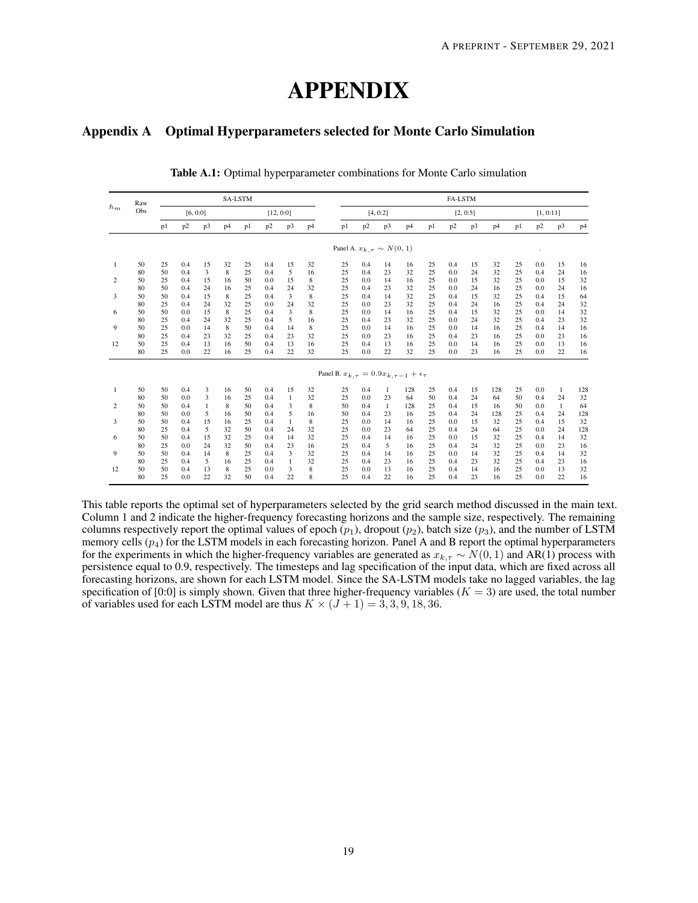# APPENDIX

## <span id="page-18-0"></span>Appendix A Optimal Hyperparameters selected for Monte Carlo Simulation

|       | Raw | SA-LSTM  |     |    |                |    |     |              |    | <b>FA-LSTM</b> |    |                                   |              |                                                           |    |     |                |                |    |     |    |     |
|-------|-----|----------|-----|----|----------------|----|-----|--------------|----|----------------|----|-----------------------------------|--------------|-----------------------------------------------------------|----|-----|----------------|----------------|----|-----|----|-----|
| $h_m$ | Obs | [6, 0:0] |     |    | [12, 0:0]      |    |     | [4, 0:2]     |    |                |    |                                   | [2, 0:5]     |                                                           |    |     |                | [1, 0:11]      |    |     |    |     |
|       |     | p1       | p2  | p3 | p <sub>4</sub> | p1 | p2  | p3           | p4 |                | p1 | p <sub>2</sub>                    | p3           | p <sub>4</sub>                                            | p1 | p2  | p <sub>3</sub> | p <sub>4</sub> | p1 | p2  | p3 | p4  |
|       |     |          |     |    |                |    |     |              |    |                |    | Panel A. $x_{k,\tau} \sim N(0,1)$ |              |                                                           |    |     |                |                |    |     |    |     |
| 1     | 50  | 25       | 0.4 | 15 | 32             | 25 | 0.4 | 15           | 32 |                | 25 | 0.4                               | 14           | 16                                                        | 25 | 0.4 | 15             | 32             | 25 | 0.0 | 15 | 16  |
|       | 80  | 50       | 0.4 | 3  | 8              | 25 | 0.4 | 5            | 16 |                | 25 | 0.4                               | 23           | 32                                                        | 25 | 0.0 | 24             | 32             | 25 | 0.4 | 24 | 16  |
| 2     | 50  | 25       | 0.4 | 15 | 16             | 50 | 0.0 | 15           | 8  |                | 25 | 0.0                               | 14           | 16                                                        | 25 | 0.0 | 15             | 32             | 25 | 0.0 | 15 | 32  |
|       | 80  | 50       | 0.4 | 24 | 16             | 25 | 0.4 | 24           | 32 |                | 25 | 0.4                               | 23           | 32                                                        | 25 | 0.0 | 24             | 16             | 25 | 0.0 | 24 | 16  |
| 3     | 50  | 50       | 0.4 | 15 | 8              | 25 | 0.4 | 3            | 8  |                | 25 | 0.4                               | 14           | 32                                                        | 25 | 0.4 | 15             | 32             | 25 | 0.4 | 15 | 64  |
|       | 80  | 25       | 0.4 | 24 | 32             | 25 | 0.0 | 24           | 32 |                | 25 | 0.0                               | 23           | 32                                                        | 25 | 0.4 | 24             | 16             | 25 | 0.4 | 24 | 32  |
| 6     | 50  | 50       | 0.0 | 15 | 8              | 25 | 0.4 | 3            | 8  |                | 25 | 0.0                               | 14           | 16                                                        | 25 | 0.4 | 15             | 32             | 25 | 0.0 | 14 | 32  |
|       | 80  | 25       | 0.4 | 24 | 32             | 25 | 0.4 | 5            | 16 |                | 25 | 0.4                               | 23           | 32                                                        | 25 | 0.0 | 24             | 32             | 25 | 0.4 | 23 | 32  |
| 9     | 50  | 25       | 0.0 | 14 | 8              | 50 | 0.4 | 14           | 8  |                | 25 | 0.0                               | 14           | 16                                                        | 25 | 0.0 | 14             | 16             | 25 | 0.4 | 14 | 16  |
|       | 80  | 25       | 0.4 | 23 | 32             | 25 | 0.4 | 23           | 32 |                | 25 | 0.0                               | 23           | 16                                                        | 25 | 0.4 | 23             | 16             | 25 | 0.0 | 23 | 16  |
| 12    | 50  | 25       | 0.4 | 13 | 16             | 50 | 0.4 | 13           | 16 |                | 25 | 0.4                               | 13           | 16                                                        | 25 | 0.0 | 14             | 16             | 25 | 0.0 | 13 | 16  |
|       | 80  | 25       | 0.0 | 22 | 16             | 25 | 0.4 | 22           | 32 |                | 25 | 0.0                               | 22           | 32                                                        | 25 | 0.0 | 23             | 16             | 25 | 0.0 | 22 | 16  |
|       |     |          |     |    |                |    |     |              |    |                |    |                                   |              | Panel B. $x_{k,\tau} = 0.9x_{k,\tau-1} + \epsilon_{\tau}$ |    |     |                |                |    |     |    |     |
| 1     | 50  | 50       | 0.4 | 3  | 16             | 50 | 0.4 | 15           | 32 |                | 25 | 0.4                               | $\mathbf{1}$ | 128                                                       | 25 | 0.4 | 15             | 128            | 25 | 0.0 | 1  | 128 |
|       | 80  | 50       | 0.0 | 3  | 16             | 25 | 0.4 | $\mathbf{1}$ | 32 |                | 25 | 0.0                               | 23           | 64                                                        | 50 | 0.4 | 24             | 64             | 50 | 0.4 | 24 | 32  |
| 2     | 50  | 50       | 0.4 | 1  | 8              | 50 | 0.4 | 3            | 8  |                | 50 | 0.4                               | $\mathbf{1}$ | 128                                                       | 25 | 0.4 | 15             | 16             | 50 | 0.0 | 1  | 64  |
|       | 80  | 50       | 0.0 | 5  | 16             | 50 | 0.4 | 5            | 16 |                | 50 | 0.4                               | 23           | 16                                                        | 25 | 0.4 | 24             | 128            | 25 | 0.4 | 24 | 128 |
| 3     | 50  | 50       | 0.4 | 15 | 16             | 25 | 0.4 | $\mathbf{1}$ | 8  |                | 25 | 0.0                               | 14           | 16                                                        | 25 | 0.0 | 15             | 32             | 25 | 0.4 | 15 | 32  |
|       | 80  | 25       | 0.4 | 5  | 32             | 50 | 0.4 | 24           | 32 |                | 25 | 0.0                               | 23           | 64                                                        | 25 | 0.4 | 24             | 64             | 25 | 0.0 | 24 | 128 |
| 6     | 50  | 50       | 0.4 | 15 | 32             | 25 | 0.4 | 14           | 32 |                | 25 | 0.4                               | 14           | 16                                                        | 25 | 0.0 | 15             | 32             | 25 | 0.4 | 14 | 32  |
|       | 80  | 25       | 0.0 | 24 | 32             | 50 | 0.4 | 23           | 16 |                | 25 | 0.4                               | 5            | 16                                                        | 25 | 0.4 | 24             | 32             | 25 | 0.0 | 23 | 16  |
| 9     | 50  | 50       | 0.4 | 14 | 8              | 25 | 0.4 | 3            | 32 |                | 25 | 0.4                               | 14           | 16                                                        | 25 | 0.0 | 14             | 32             | 25 | 0.4 | 14 | 32  |
|       | 80  | 25       | 0.4 | 5  | 16             | 25 | 0.4 | $\mathbf{1}$ | 32 |                | 25 | 0.4                               | 23           | 16                                                        | 25 | 0.4 | 23             | 32             | 25 | 0.4 | 23 | 16  |
| 12    | 50  | 50       | 0.4 | 13 | 8              | 25 | 0.0 | 3            | 8  |                | 25 | 0.0                               | 13           | 16                                                        | 25 | 0.4 | 14             | 16             | 25 | 0.0 | 13 | 32  |
|       | 80  | 25       | 0.0 | 22 | 32             | 50 | 0.4 | 22           | 8  |                | 25 | 0.4                               | 22           | 16                                                        | 25 | 0.4 | 23             | 16             | 25 | 0.0 | 22 | 16  |

Table A.1: Optimal hyperparameter combinations for Monte Carlo simulation

This table reports the optimal set of hyperparameters selected by the grid search method discussed in the main text. Column 1 and 2 indicate the higher-frequency forecasting horizons and the sample size, respectively. The remaining columns respectively report the optimal values of epoch  $(p_1)$ , dropout  $(p_2)$ , batch size  $(p_3)$ , and the number of LSTM memory cells  $(p_4)$  for the LSTM models in each forecasting horizon. Panel A and B report the optimal hyperparameters for the experiments in which the higher-frequency variables are generated as  $x_{k,\tau} \sim N(0, 1)$  and AR(1) process with persistence equal to 0.9, respectively. The timesteps and lag specification of the input data, which are fixed across all forecasting horizons, are shown for each LSTM model. Since the SA-LSTM models take no lagged variables, the lag specification of [0:0] is simply shown. Given that three higher-frequency variables ( $K = 3$ ) are used, the total number of variables used for each LSTM model are thus  $K \times (J + 1) = 3, 3, 9, 18, 36$ .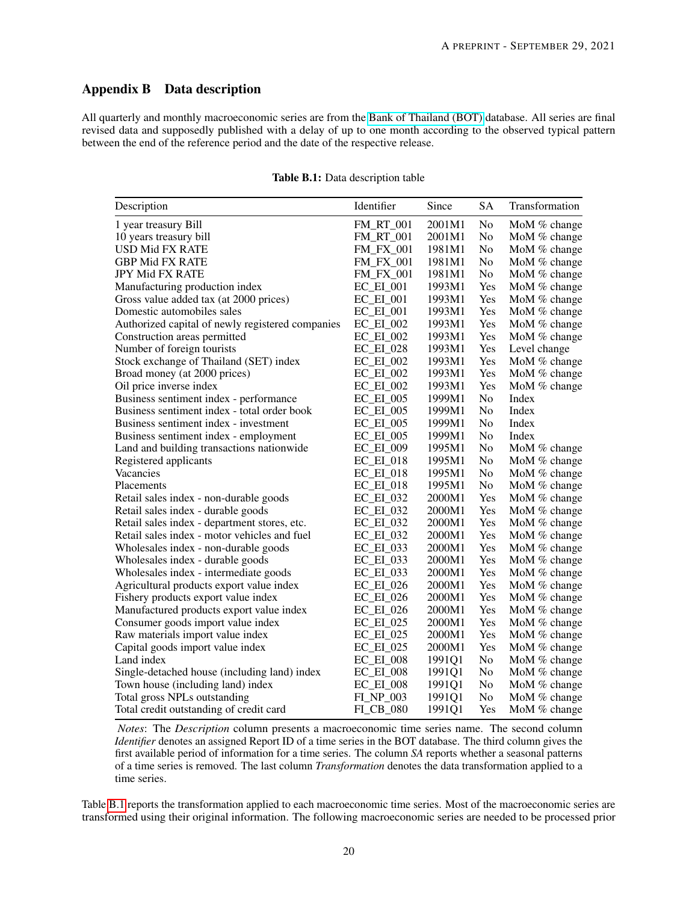## Appendix B Data description

<span id="page-19-0"></span>All quarterly and monthly macroeconomic series are from the [Bank of Thailand \(BOT\)](https://www.bot.or.th/English/Statistics/Pages/default.aspx) database. All series are final revised data and supposedly published with a delay of up to one month according to the observed typical pattern between the end of the reference period and the date of the respective release.

| Description                                      | Identifier       | Since  | <b>SA</b> | Transformation |
|--------------------------------------------------|------------------|--------|-----------|----------------|
| 1 year treasury Bill                             | <b>FM_RT_001</b> | 2001M1 | No        | MoM % change   |
| 10 years treasury bill                           | <b>FM_RT_001</b> | 2001M1 | No        | MoM % change   |
| <b>USD Mid FX RATE</b>                           | <b>FM_FX_001</b> | 1981M1 | No        | MoM % change   |
| <b>GBP Mid FX RATE</b>                           | <b>FM_FX_001</b> | 1981M1 | No        | MoM % change   |
| <b>JPY Mid FX RATE</b>                           | <b>FM_FX_001</b> | 1981M1 | No        | MoM % change   |
| Manufacturing production index                   | $EC$ $EI$ $001$  | 1993M1 | Yes       | MoM % change   |
| Gross value added tax (at 2000 prices)           | $EC$ $EI$ $001$  | 1993M1 | Yes       | MoM % change   |
| Domestic automobiles sales                       | $EC$ $EI$ $001$  | 1993M1 | Yes       | MoM % change   |
| Authorized capital of newly registered companies | $EC$ $EI$ $002$  | 1993M1 | Yes       | MoM % change   |
| Construction areas permitted                     | $EC$ $EI$ 002    | 1993M1 | Yes       | MoM % change   |
| Number of foreign tourists                       | $EC$ $EI$ $028$  | 1993M1 | Yes       | Level change   |
| Stock exchange of Thailand (SET) index           | $EC$ $EI$ $002$  | 1993M1 | Yes       | MoM % change   |
| Broad money (at 2000 prices)                     | $EC$ $EI$ $002$  | 1993M1 | Yes       | MoM % change   |
| Oil price inverse index                          | $EC$ $EI$ 002    | 1993M1 | Yes       | MoM % change   |
| Business sentiment index - performance           | $EC$ $EI$ $005$  | 1999M1 | No        | Index          |
| Business sentiment index - total order book      | $EC$ $EI$ $005$  | 1999M1 | No        | Index          |
| Business sentiment index - investment            | <b>EC_EI_005</b> | 1999M1 | No        | Index          |
| Business sentiment index - employment            | $EC$ $EI$ $005$  | 1999M1 | No        | Index          |
| Land and building transactions nationwide        | $EC$ $EI$ 009    | 1995M1 | No        | MoM % change   |
| Registered applicants                            | $EC$ $EI$ $018$  | 1995M1 | No        | MoM $%$ change |
| Vacancies                                        | $EC$ $EI$ 018    | 1995M1 | No        | MoM % change   |
| Placements                                       | $EC$ $EI$ 018    | 1995M1 | No        | MoM % change   |
| Retail sales index - non-durable goods           | EC_EI_032        | 2000M1 | Yes       | MoM % change   |
| Retail sales index - durable goods               | EC_EI_032        | 2000M1 | Yes       | MoM % change   |
| Retail sales index - department stores, etc.     | $EC$ $EI$ $032$  | 2000M1 | Yes       | MoM % change   |
| Retail sales index - motor vehicles and fuel     | EC_EI_032        | 2000M1 | Yes       | MoM % change   |
| Wholesales index - non-durable goods             | EC_EI_033        | 2000M1 | Yes       | MoM % change   |
| Wholesales index - durable goods                 | $EC$ $EI$ $033$  | 2000M1 | Yes       | MoM % change   |
| Wholesales index - intermediate goods            | $EC$ $EI$ 033    | 2000M1 | Yes       | MoM % change   |
| Agricultural products export value index         | $EC$ $EI$ $026$  | 2000M1 | Yes       | MoM % change   |
| Fishery products export value index              | $EC$ $EI$ $026$  | 2000M1 | Yes       | MoM % change   |
| Manufactured products export value index         | EC_EI_026        | 2000M1 | Yes       | MoM % change   |
| Consumer goods import value index                | $EC$ $EI$ 025    | 2000M1 | Yes       | MoM % change   |
| Raw materials import value index                 | $EC$ $EI$ $025$  | 2000M1 | Yes       | MoM % change   |
| Capital goods import value index                 | $EC$ $EI$ $025$  | 2000M1 | Yes       | MoM % change   |
| Land index                                       | $EC$ $EI$ $008$  | 1991Q1 | No        | MoM % change   |
| Single-detached house (including land) index     | $EC$ $EI$ $008$  | 1991Q1 | No        | MoM % change   |
| Town house (including land) index                | $EC$ $EI$ 008    | 1991Q1 | No        | MoM % change   |
| Total gross NPLs outstanding                     | FL_NP_003        | 1991Q1 | No        | MoM $%$ change |
| Total credit outstanding of credit card          | FI CB 080        | 1991Q1 | Yes       | MoM % change   |

#### Table B.1: Data description table

*Notes*: The *Description* column presents a macroeconomic time series name. The second column *Identifier* denotes an assigned Report ID of a time series in the BOT database. The third column gives the first available period of information for a time series. The column *SA* reports whether a seasonal patterns of a time series is removed. The last column *Transformation* denotes the data transformation applied to a time series.

Table [B.1](#page-19-0) reports the transformation applied to each macroeconomic time series. Most of the macroeconomic series are transformed using their original information. The following macroeconomic series are needed to be processed prior